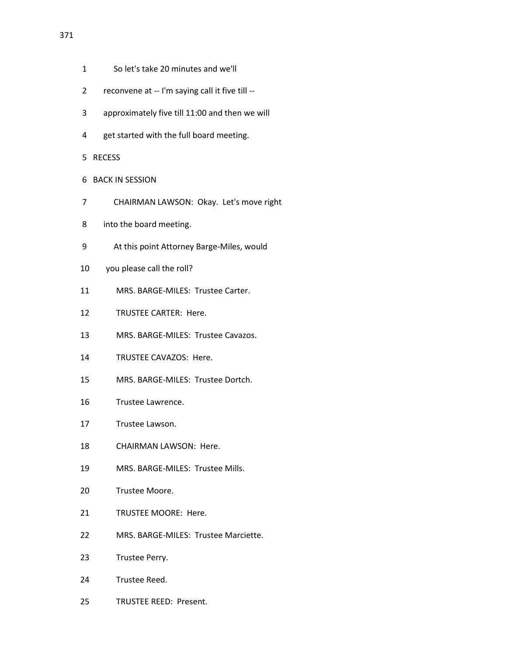- 1 So let's take 20 minutes and we'll
- 2 reconvene at -- I'm saying call it five till --
- 3 approximately five till 11:00 and then we will
- 4 get started with the full board meeting.
- 5 RECESS
- 6 BACK IN SESSION
- 7 CHAIRMAN LAWSON: Okay. Let's move right
- 8 into the board meeting.
- 9 At this point Attorney Barge-Miles, would
- 10 you please call the roll?
- 11 MRS. BARGE-MILES: Trustee Carter.
- 12 TRUSTEE CARTER: Here.
- 13 MRS. BARGE-MILES: Trustee Cavazos.
- 14 TRUSTEE CAVAZOS: Here.
- 15 MRS. BARGE-MILES: Trustee Dortch.
- 16 Trustee Lawrence.
- 17 Trustee Lawson.
- 18 CHAIRMAN LAWSON: Here.
- 19 MRS. BARGE-MILES: Trustee Mills.
- 20 Trustee Moore.
- 21 TRUSTEE MOORE: Here.
- 22 MRS. BARGE-MILES: Trustee Marciette.
- 23 Trustee Perry.
- 24 Trustee Reed.
- 25 TRUSTEE REED: Present.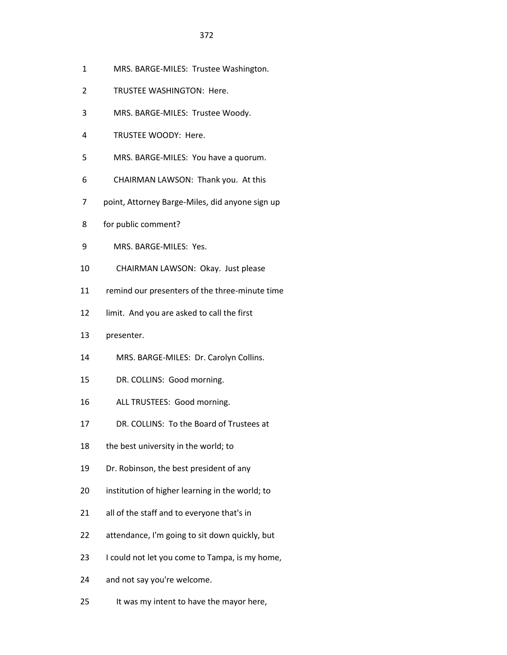- 1 MRS. BARGE-MILES: Trustee Washington.
- 2 TRUSTEE WASHINGTON: Here.
- 3 MRS. BARGE-MILES: Trustee Woody.
- 4 TRUSTEE WOODY: Here.
- 5 MRS. BARGE-MILES: You have a quorum.
- 6 CHAIRMAN LAWSON: Thank you. At this
- 7 point, Attorney Barge-Miles, did anyone sign up
- 8 for public comment?
- 9 MRS. BARGE-MILES: Yes.
- 10 CHAIRMAN LAWSON: Okay. Just please
- 11 remind our presenters of the three-minute time
- 12 limit. And you are asked to call the first
- 13 presenter.
- 14 MRS. BARGE-MILES: Dr. Carolyn Collins.
- 15 DR. COLLINS: Good morning.
- 16 ALL TRUSTEES: Good morning.
- 17 DR. COLLINS: To the Board of Trustees at
- 18 the best university in the world; to
- 19 Dr. Robinson, the best president of any
- 20 institution of higher learning in the world; to
- 21 all of the staff and to everyone that's in
- 22 attendance, I'm going to sit down quickly, but
- 23 I could not let you come to Tampa, is my home,
- 24 and not say you're welcome.
- 25 It was my intent to have the mayor here,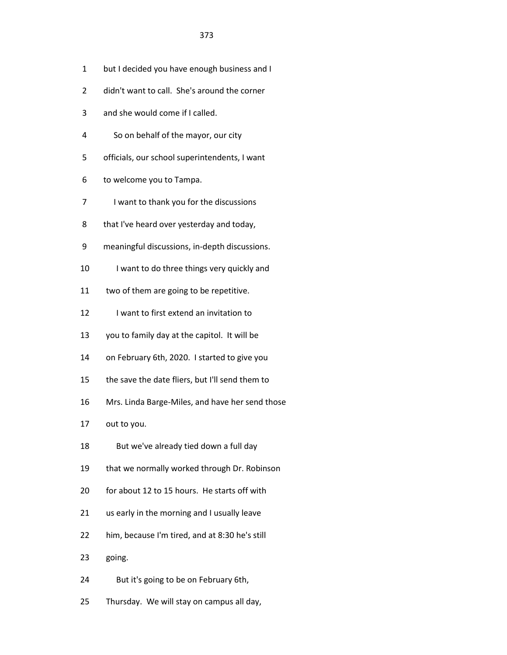- 1 but I decided you have enough business and I
- 2 didn't want to call. She's around the corner
- 3 and she would come if I called.
- 4 So on behalf of the mayor, our city
- 5 officials, our school superintendents, I want
- 6 to welcome you to Tampa.
- 7 I want to thank you for the discussions
- 8 that I've heard over yesterday and today,
- 9 meaningful discussions, in-depth discussions.
- 10 I want to do three things very quickly and
- 11 two of them are going to be repetitive.
- 12 I want to first extend an invitation to
- 13 you to family day at the capitol. It will be
- 14 on February 6th, 2020. I started to give you
- 15 the save the date fliers, but I'll send them to
- 16 Mrs. Linda Barge-Miles, and have her send those
- 17 out to you.
- 18 But we've already tied down a full day
- 19 that we normally worked through Dr. Robinson
- 20 for about 12 to 15 hours. He starts off with
- 21 us early in the morning and I usually leave
- 22 him, because I'm tired, and at 8:30 he's still
- 23 going.
- 24 But it's going to be on February 6th,
- 25 Thursday. We will stay on campus all day,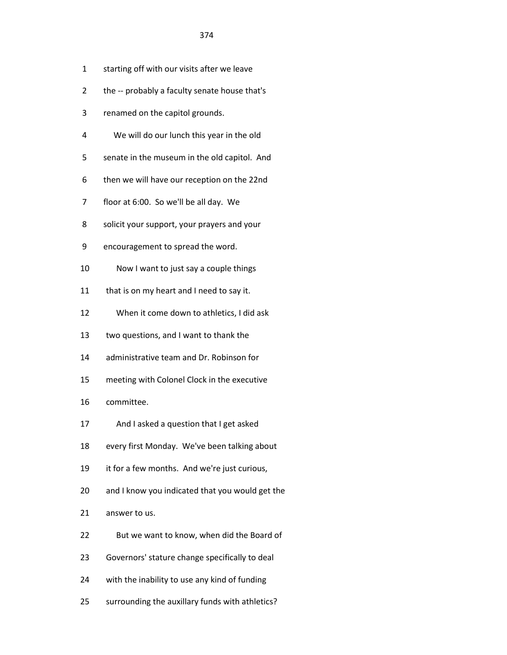- 1 starting off with our visits after we leave
- 2 the -- probably a faculty senate house that's
- 3 renamed on the capitol grounds.
- 4 We will do our lunch this year in the old
- 5 senate in the museum in the old capitol. And
- 6 then we will have our reception on the 22nd
- 7 floor at 6:00. So we'll be all day. We
- 8 solicit your support, your prayers and your
- 9 encouragement to spread the word.
- 10 Now I want to just say a couple things
- 11 that is on my heart and I need to say it.
- 12 When it come down to athletics, I did ask
- 13 two questions, and I want to thank the
- 14 administrative team and Dr. Robinson for
- 15 meeting with Colonel Clock in the executive
- 16 committee.
- 17 And I asked a question that I get asked
- 18 every first Monday. We've been talking about
- 19 it for a few months. And we're just curious,
- 20 and I know you indicated that you would get the
- 21 answer to us.
- 22 But we want to know, when did the Board of
- 23 Governors' stature change specifically to deal
- 24 with the inability to use any kind of funding
- 25 surrounding the auxillary funds with athletics?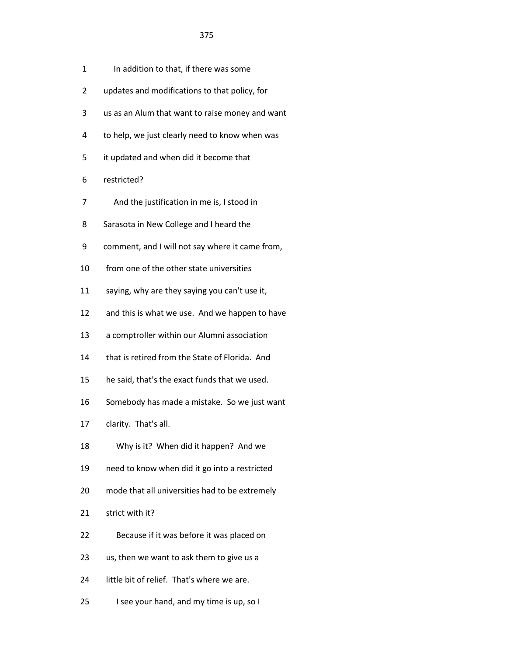- 1 In addition to that, if there was some
- 2 updates and modifications to that policy, for
- 3 us as an Alum that want to raise money and want
- 4 to help, we just clearly need to know when was
- 5 it updated and when did it become that
- 6 restricted?
- 7 And the justification in me is, I stood in
- 8 Sarasota in New College and I heard the
- 9 comment, and I will not say where it came from,
- 10 from one of the other state universities
- 11 saying, why are they saying you can't use it,
- 12 and this is what we use. And we happen to have
- 13 a comptroller within our Alumni association
- 14 that is retired from the State of Florida. And
- 15 he said, that's the exact funds that we used.
- 16 Somebody has made a mistake. So we just want
- 17 clarity. That's all.
- 18 Why is it? When did it happen? And we
- 19 need to know when did it go into a restricted
- 20 mode that all universities had to be extremely
- 21 strict with it?
- 22 Because if it was before it was placed on
- 23 us, then we want to ask them to give us a
- 24 little bit of relief. That's where we are.
- 25 I see your hand, and my time is up, so I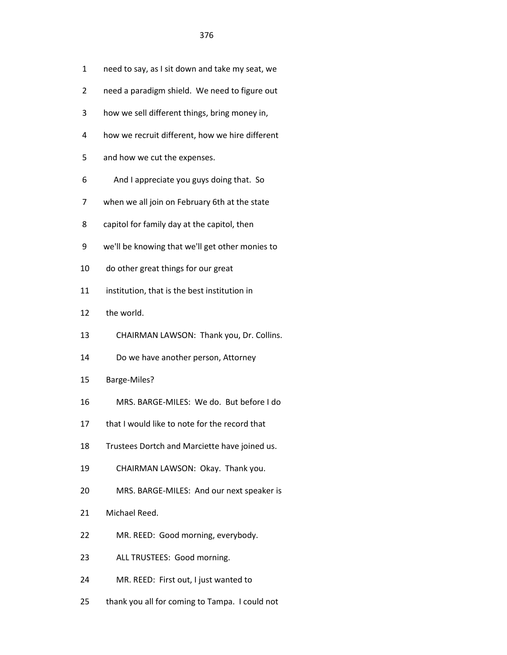- 1 need to say, as I sit down and take my seat, we
- 2 need a paradigm shield. We need to figure out
- 3 how we sell different things, bring money in,
- 4 how we recruit different, how we hire different
- 5 and how we cut the expenses.
- 6 And I appreciate you guys doing that. So
- 7 when we all join on February 6th at the state
- 8 capitol for family day at the capitol, then
- 9 we'll be knowing that we'll get other monies to
- 10 do other great things for our great
- 11 institution, that is the best institution in
- 12 the world.
- 13 CHAIRMAN LAWSON: Thank you, Dr. Collins.
- 14 Do we have another person, Attorney
- 15 Barge-Miles?
- 16 MRS. BARGE-MILES: We do. But before I do
- 17 that I would like to note for the record that
- 18 Trustees Dortch and Marciette have joined us.
- 19 CHAIRMAN LAWSON: Okay. Thank you.
- 20 MRS. BARGE-MILES: And our next speaker is
- 21 Michael Reed.
- 22 MR. REED: Good morning, everybody.
- 23 ALL TRUSTEES: Good morning.
- 24 MR. REED: First out, I just wanted to
- 25 thank you all for coming to Tampa. I could not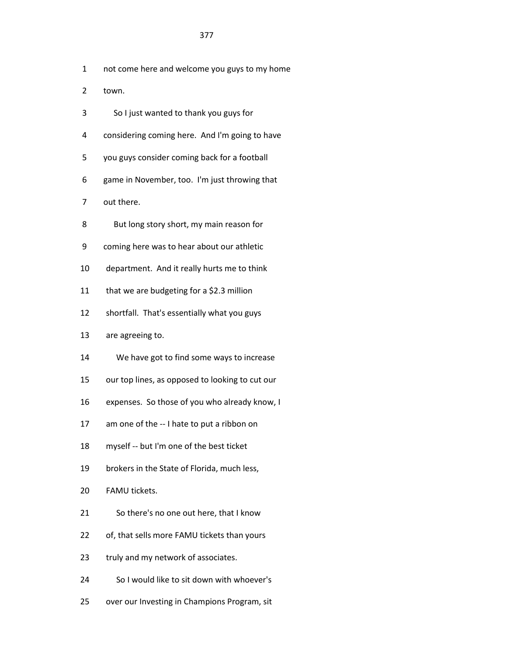- 1 not come here and welcome you guys to my home
- 2 town.
- 3 So I just wanted to thank you guys for
- 4 considering coming here. And I'm going to have
- 5 you guys consider coming back for a football
- 6 game in November, too. I'm just throwing that
- 7 out there.
- 8 But long story short, my main reason for
- 9 coming here was to hear about our athletic
- 10 department. And it really hurts me to think
- 11 that we are budgeting for a \$2.3 million
- 12 shortfall. That's essentially what you guys
- 13 are agreeing to.
- 14 We have got to find some ways to increase
- 15 our top lines, as opposed to looking to cut our
- 16 expenses. So those of you who already know, I
- 17 am one of the -- I hate to put a ribbon on
- 18 myself -- but I'm one of the best ticket
- 19 brokers in the State of Florida, much less,
- 20 FAMU tickets.
- 21 So there's no one out here, that I know
- 22 of, that sells more FAMU tickets than yours
- 23 truly and my network of associates.
- 24 So I would like to sit down with whoever's
- 25 over our Investing in Champions Program, sit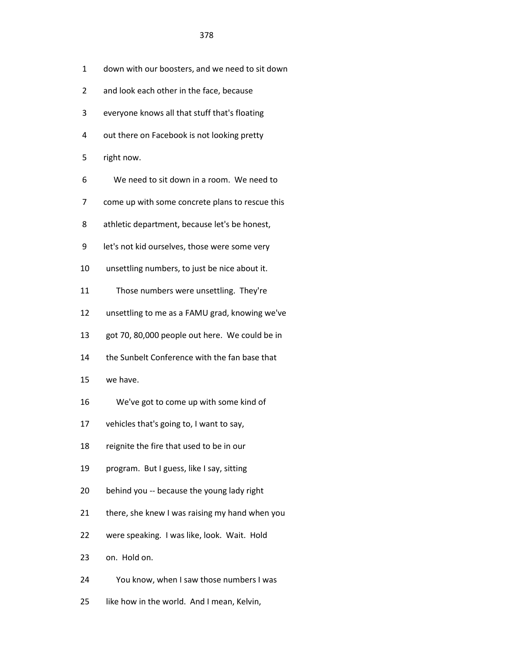| down with our boosters, and we need to sit down |
|-------------------------------------------------|
|-------------------------------------------------|

- 2 and look each other in the face, because
- 3 everyone knows all that stuff that's floating
- 4 out there on Facebook is not looking pretty
- 5 right now.
- 6 We need to sit down in a room. We need to
- 7 come up with some concrete plans to rescue this
- 8 athletic department, because let's be honest,
- 9 let's not kid ourselves, those were some very
- 10 unsettling numbers, to just be nice about it.
- 11 Those numbers were unsettling. They're
- 12 unsettling to me as a FAMU grad, knowing we've
- 13 got 70, 80,000 people out here. We could be in
- 14 the Sunbelt Conference with the fan base that
- 15 we have.
- 16 We've got to come up with some kind of
- 17 vehicles that's going to, I want to say,
- 18 reignite the fire that used to be in our
- 19 program. But I guess, like I say, sitting
- 20 behind you -- because the young lady right
- 21 there, she knew I was raising my hand when you
- 22 were speaking. I was like, look. Wait. Hold
- 23 on. Hold on.
- 24 You know, when I saw those numbers I was
- 25 like how in the world. And I mean, Kelvin,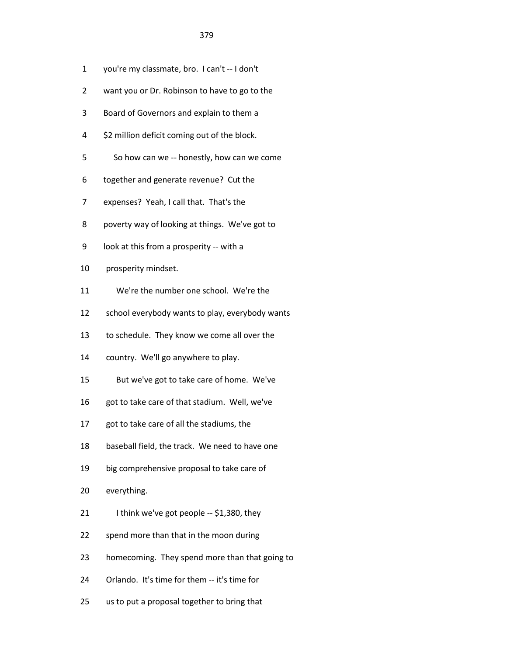- 1 you're my classmate, bro. I can't -- I don't
- 2 want you or Dr. Robinson to have to go to the
- 3 Board of Governors and explain to them a
- 4 \$2 million deficit coming out of the block.
- 5 So how can we -- honestly, how can we come
- 6 together and generate revenue? Cut the
- 7 expenses? Yeah, I call that. That's the
- 8 poverty way of looking at things. We've got to
- 9 look at this from a prosperity -- with a
- 10 prosperity mindset.
- 11 We're the number one school. We're the
- 12 school everybody wants to play, everybody wants
- 13 to schedule. They know we come all over the
- 14 country. We'll go anywhere to play.
- 15 But we've got to take care of home. We've
- 16 got to take care of that stadium. Well, we've
- 17 got to take care of all the stadiums, the
- 18 baseball field, the track. We need to have one
- 19 big comprehensive proposal to take care of
- 20 everything.
- 21 I think we've got people -- \$1,380, they
- 22 spend more than that in the moon during
- 23 homecoming. They spend more than that going to
- 24 Orlando. It's time for them -- it's time for
- 25 us to put a proposal together to bring that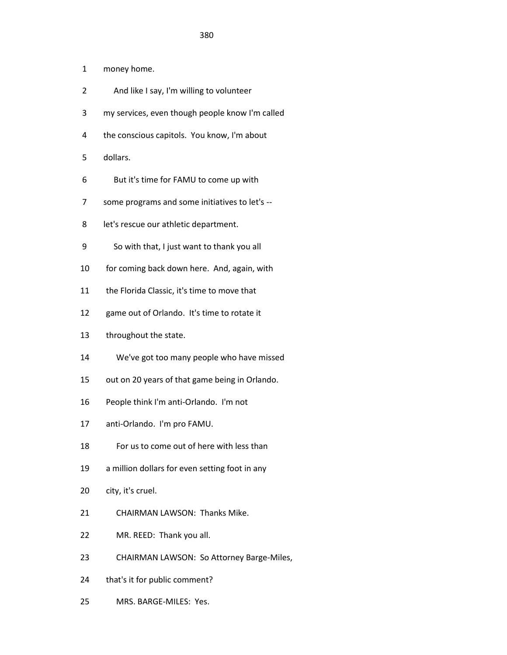- 1 money home.
- 2 And like I say, I'm willing to volunteer
- 3 my services, even though people know I'm called
- 4 the conscious capitols. You know, I'm about
- 5 dollars.
- 6 But it's time for FAMU to come up with
- 7 some programs and some initiatives to let's --
- 8 let's rescue our athletic department.
- 9 So with that, I just want to thank you all
- 10 for coming back down here. And, again, with
- 11 the Florida Classic, it's time to move that
- 12 game out of Orlando. It's time to rotate it
- 13 throughout the state.
- 14 We've got too many people who have missed
- 15 out on 20 years of that game being in Orlando.
- 16 People think I'm anti-Orlando. I'm not
- 17 anti-Orlando. I'm pro FAMU.
- 18 For us to come out of here with less than
- 19 a million dollars for even setting foot in any
- 20 city, it's cruel.
- 21 CHAIRMAN LAWSON: Thanks Mike.
- 22 MR. REED: Thank you all.
- 23 CHAIRMAN LAWSON: So Attorney Barge-Miles,
- 24 that's it for public comment?
- 25 MRS. BARGE-MILES: Yes.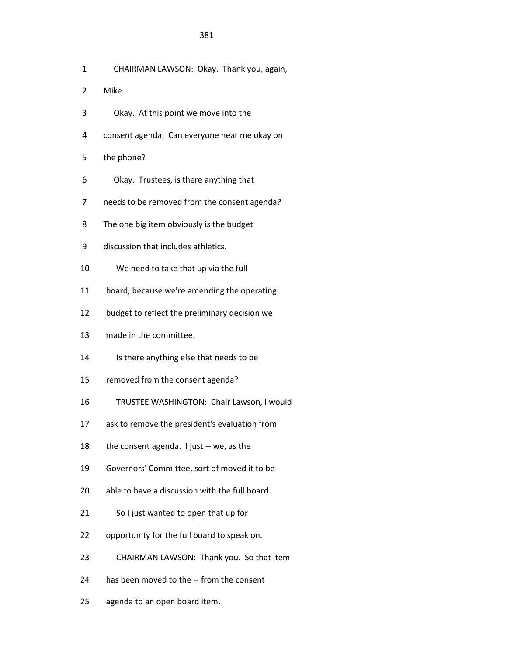- 1 CHAIRMAN LAWSON: Okay. Thank you, again,
- 2 Mike.
- 3 Okay. At this point we move into the
- 4 consent agenda. Can everyone hear me okay on
- 5 the phone?
- 6 Okay. Trustees, is there anything that
- 7 needs to be removed from the consent agenda?
- 8 The one big item obviously is the budget
- 9 discussion that includes athletics.
- 10 We need to take that up via the full
- 11 board, because we're amending the operating
- 12 budget to reflect the preliminary decision we
- 13 made in the committee.
- 14 Is there anything else that needs to be
- 15 removed from the consent agenda?
- 16 TRUSTEE WASHINGTON: Chair Lawson, I would
- 17 ask to remove the president's evaluation from
- 18 the consent agenda. I just -- we, as the
- 19 Governors' Committee, sort of moved it to be
- 20 able to have a discussion with the full board.
- 21 So I just wanted to open that up for
- 22 opportunity for the full board to speak on.
- 23 CHAIRMAN LAWSON: Thank you. So that item
- 24 has been moved to the -- from the consent
- 25 agenda to an open board item.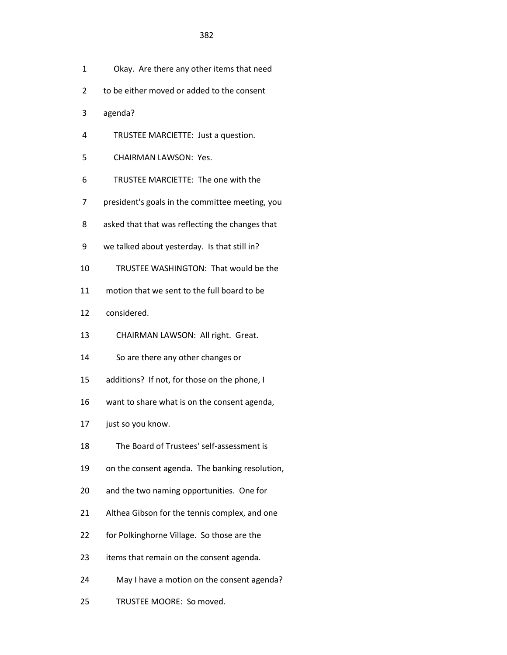- 1 Okay. Are there any other items that need
- 2 to be either moved or added to the consent
- 3 agenda?
- 4 TRUSTEE MARCIETTE: Just a question.
- 5 CHAIRMAN LAWSON: Yes.
- 6 TRUSTEE MARCIETTE: The one with the
- 7 president's goals in the committee meeting, you
- 8 asked that that was reflecting the changes that
- 9 we talked about yesterday. Is that still in?
- 10 TRUSTEE WASHINGTON: That would be the
- 11 motion that we sent to the full board to be
- 12 considered.
- 13 CHAIRMAN LAWSON: All right. Great.
- 14 So are there any other changes or
- 15 additions? If not, for those on the phone, I
- 16 want to share what is on the consent agenda,
- 17 just so you know.
- 18 The Board of Trustees' self-assessment is
- 19 on the consent agenda. The banking resolution,
- 20 and the two naming opportunities. One for
- 21 Althea Gibson for the tennis complex, and one
- 22 for Polkinghorne Village. So those are the
- 23 items that remain on the consent agenda.
- 24 May I have a motion on the consent agenda?
- 25 TRUSTEE MOORE: So moved.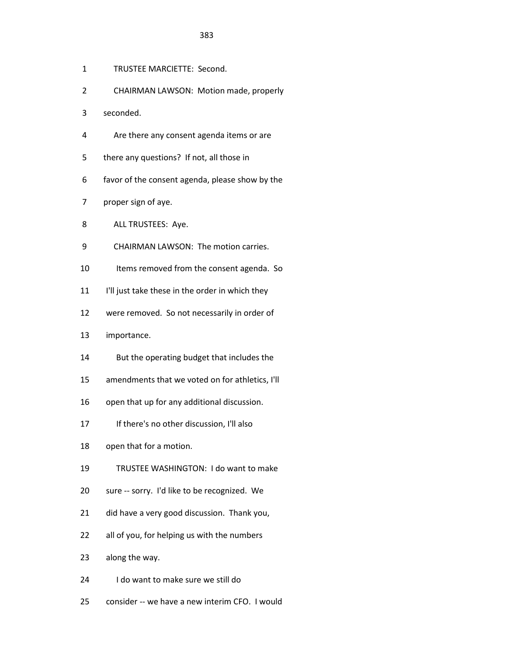- 1 TRUSTEE MARCIETTE: Second.
- 2 CHAIRMAN LAWSON: Motion made, properly
- 3 seconded.
- 4 Are there any consent agenda items or are
- 5 there any questions? If not, all those in
- 6 favor of the consent agenda, please show by the
- 7 proper sign of aye.
- 8 ALL TRUSTEES: Aye.
- 9 CHAIRMAN LAWSON: The motion carries.
- 10 Items removed from the consent agenda. So
- 11 I'll just take these in the order in which they
- 12 were removed. So not necessarily in order of
- 13 importance.
- 14 But the operating budget that includes the
- 15 amendments that we voted on for athletics, I'll
- 16 open that up for any additional discussion.
- 17 If there's no other discussion, I'll also
- 18 open that for a motion.
- 19 TRUSTEE WASHINGTON: I do want to make
- 20 sure -- sorry. I'd like to be recognized. We
- 21 did have a very good discussion. Thank you,
- 22 all of you, for helping us with the numbers
- 23 along the way.
- 24 I do want to make sure we still do
- 25 consider -- we have a new interim CFO. I would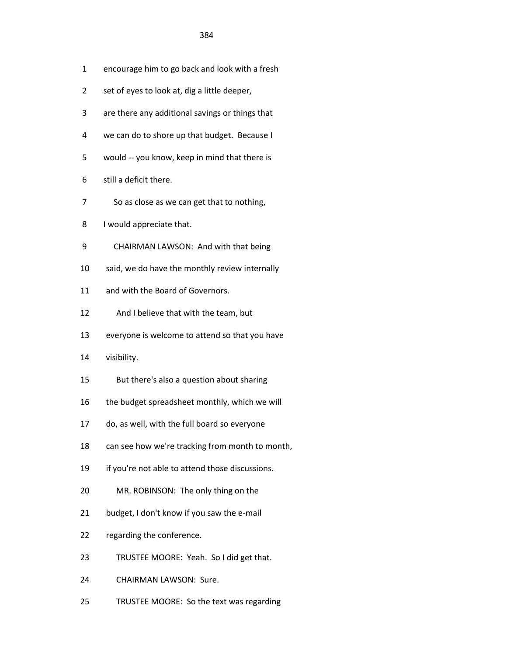- 1 encourage him to go back and look with a fresh
- 2 set of eyes to look at, dig a little deeper,
- 3 are there any additional savings or things that
- 4 we can do to shore up that budget. Because I
- 5 would -- you know, keep in mind that there is
- 6 still a deficit there.
- 7 So as close as we can get that to nothing,
- 8 I would appreciate that.
- 9 CHAIRMAN LAWSON: And with that being
- 10 said, we do have the monthly review internally
- 11 and with the Board of Governors.
- 12 And I believe that with the team, but
- 13 everyone is welcome to attend so that you have
- 14 visibility.
- 15 But there's also a question about sharing
- 16 the budget spreadsheet monthly, which we will
- 17 do, as well, with the full board so everyone
- 18 can see how we're tracking from month to month,
- 19 if you're not able to attend those discussions.
- 20 MR. ROBINSON: The only thing on the
- 21 budget, I don't know if you saw the e-mail
- 22 regarding the conference.
- 23 TRUSTEE MOORE: Yeah. So I did get that.
- 24 CHAIRMAN LAWSON: Sure.
- 25 TRUSTEE MOORE: So the text was regarding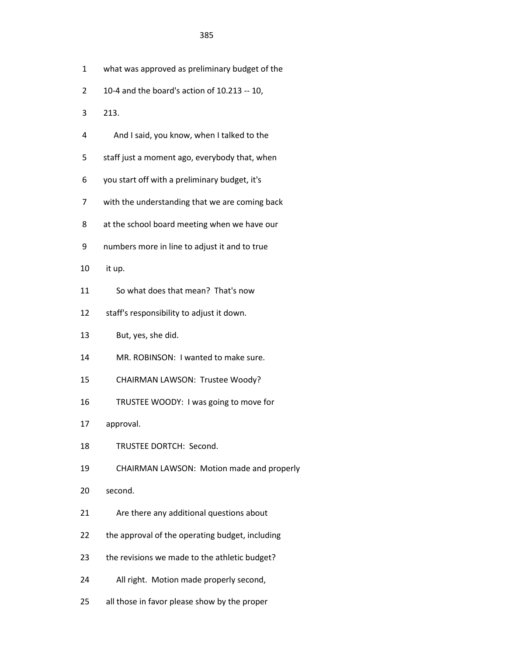- 1 what was approved as preliminary budget of the
- 2 10-4 and the board's action of 10.213 -- 10,
- 3 213.
- 4 And I said, you know, when I talked to the
- 5 staff just a moment ago, everybody that, when
- 6 you start off with a preliminary budget, it's
- 7 with the understanding that we are coming back
- 8 at the school board meeting when we have our
- 9 numbers more in line to adjust it and to true
- 10 it up.
- 11 So what does that mean? That's now
- 12 staff's responsibility to adjust it down.
- 13 But, yes, she did.
- 14 MR. ROBINSON: I wanted to make sure.
- 15 CHAIRMAN LAWSON: Trustee Woody?
- 16 TRUSTEE WOODY: I was going to move for
- 17 approval.
- 18 TRUSTEE DORTCH: Second.
- 19 CHAIRMAN LAWSON: Motion made and properly
- 20 second.
- 21 Are there any additional questions about
- 22 the approval of the operating budget, including
- 23 the revisions we made to the athletic budget?
- 24 All right. Motion made properly second,
- 25 all those in favor please show by the proper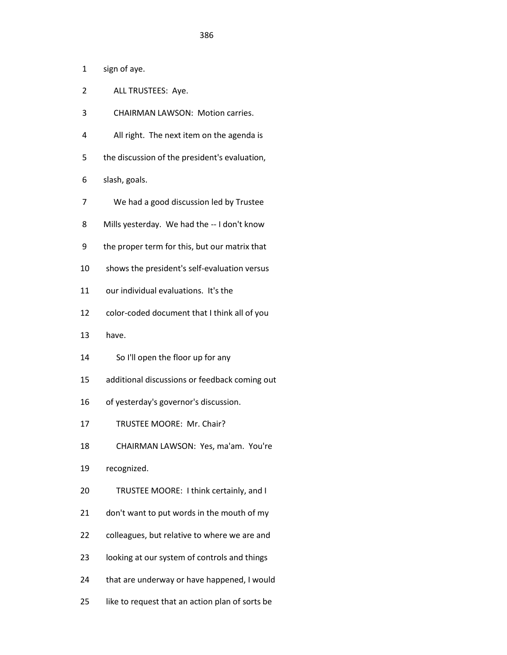1 sign of aye.

- 2 ALL TRUSTEES: Aye.
- 3 CHAIRMAN LAWSON: Motion carries.
- 4 All right. The next item on the agenda is
- 5 the discussion of the president's evaluation,
- 6 slash, goals.
- 7 We had a good discussion led by Trustee
- 8 Mills yesterday. We had the -- I don't know
- 9 the proper term for this, but our matrix that
- 10 shows the president's self-evaluation versus
- 11 our individual evaluations. It's the
- 12 color-coded document that I think all of you
- 13 have.
- 14 So I'll open the floor up for any
- 15 additional discussions or feedback coming out
- 16 of yesterday's governor's discussion.
- 17 TRUSTEE MOORE: Mr. Chair?
- 18 CHAIRMAN LAWSON: Yes, ma'am. You're
- 19 recognized.
- 20 TRUSTEE MOORE: I think certainly, and I
- 21 don't want to put words in the mouth of my
- 22 colleagues, but relative to where we are and
- 23 looking at our system of controls and things
- 24 that are underway or have happened, I would
- 25 like to request that an action plan of sorts be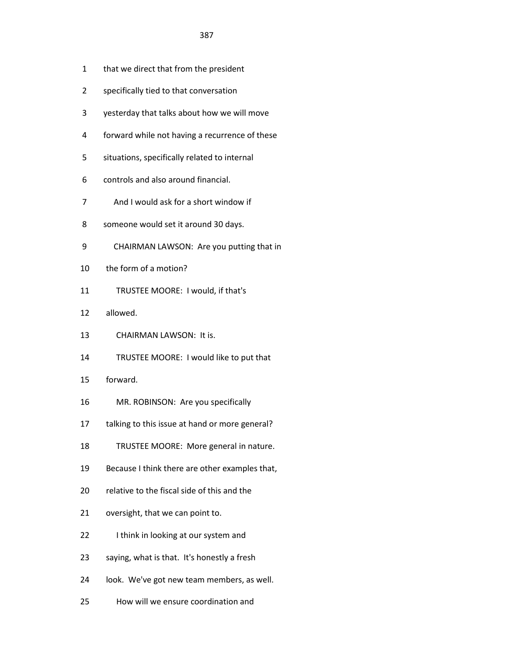- 1 that we direct that from the president
- 2 specifically tied to that conversation
- 3 yesterday that talks about how we will move
- 4 forward while not having a recurrence of these
- 5 situations, specifically related to internal
- 6 controls and also around financial.
- 7 And I would ask for a short window if
- 8 someone would set it around 30 days.
- 9 CHAIRMAN LAWSON: Are you putting that in
- 10 the form of a motion?
- 11 TRUSTEE MOORE: I would, if that's
- 12 allowed.
- 13 CHAIRMAN LAWSON: It is.
- 14 TRUSTEE MOORE: I would like to put that
- 15 forward.
- 16 MR. ROBINSON: Are you specifically
- 17 talking to this issue at hand or more general?
- 18 TRUSTEE MOORE: More general in nature.
- 19 Because I think there are other examples that,
- 20 relative to the fiscal side of this and the
- 21 oversight, that we can point to.
- 22 I think in looking at our system and
- 23 saying, what is that. It's honestly a fresh
- 24 look. We've got new team members, as well.
- 25 How will we ensure coordination and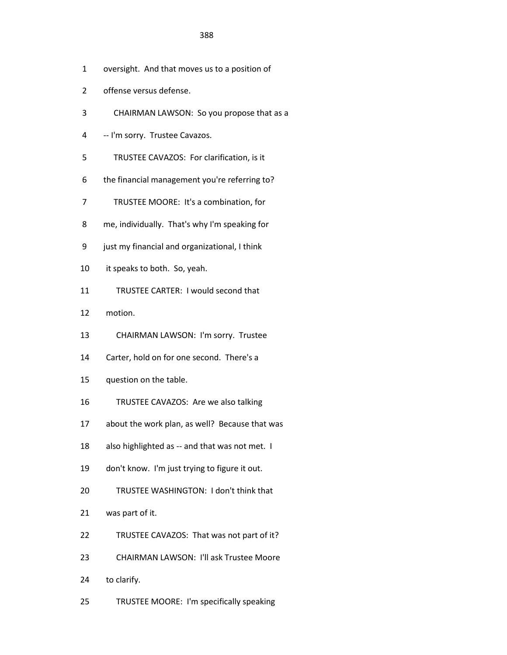- 1 oversight. And that moves us to a position of
- 2 offense versus defense.
- 3 CHAIRMAN LAWSON: So you propose that as a
- 4 -- I'm sorry. Trustee Cavazos.
- 5 TRUSTEE CAVAZOS: For clarification, is it
- 6 the financial management you're referring to?
- 7 TRUSTEE MOORE: It's a combination, for
- 8 me, individually. That's why I'm speaking for
- 9 just my financial and organizational, I think
- 10 it speaks to both. So, yeah.
- 11 TRUSTEE CARTER: I would second that
- 12 motion.
- 13 CHAIRMAN LAWSON: I'm sorry. Trustee
- 14 Carter, hold on for one second. There's a
- 15 question on the table.
- 16 TRUSTEE CAVAZOS: Are we also talking
- 17 about the work plan, as well? Because that was
- 18 also highlighted as -- and that was not met. I
- 19 don't know. I'm just trying to figure it out.
- 20 TRUSTEE WASHINGTON: I don't think that
- 21 was part of it.
- 22 TRUSTEE CAVAZOS: That was not part of it?
- 23 CHAIRMAN LAWSON: I'll ask Trustee Moore
- 24 to clarify.
- 25 TRUSTEE MOORE: I'm specifically speaking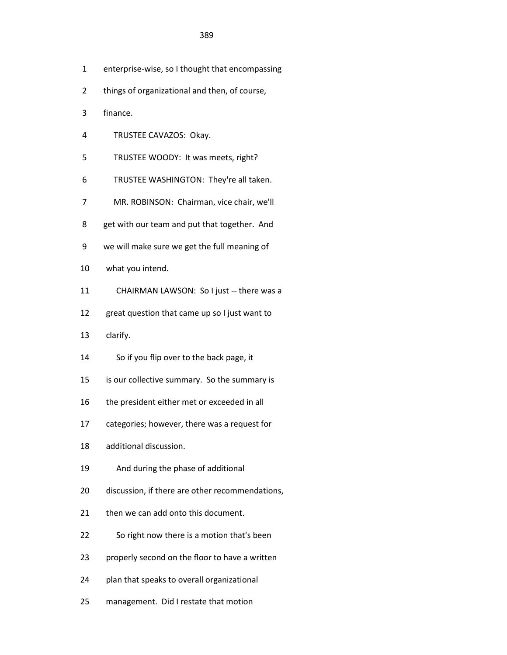- 1 enterprise-wise, so I thought that encompassing
- 2 things of organizational and then, of course,
- 3 finance.
- 4 TRUSTEE CAVAZOS: Okay.
- 5 TRUSTEE WOODY: It was meets, right?
- 6 TRUSTEE WASHINGTON: They're all taken.
- 7 MR. ROBINSON: Chairman, vice chair, we'll
- 8 get with our team and put that together. And
- 9 we will make sure we get the full meaning of
- 10 what you intend.
- 11 CHAIRMAN LAWSON: So I just -- there was a
- 12 great question that came up so I just want to
- 13 clarify.
- 14 So if you flip over to the back page, it
- 15 is our collective summary. So the summary is
- 16 the president either met or exceeded in all
- 17 categories; however, there was a request for
- 18 additional discussion.
- 19 And during the phase of additional
- 20 discussion, if there are other recommendations,
- 21 then we can add onto this document.
- 22 So right now there is a motion that's been
- 23 properly second on the floor to have a written
- 24 plan that speaks to overall organizational
- 25 management. Did I restate that motion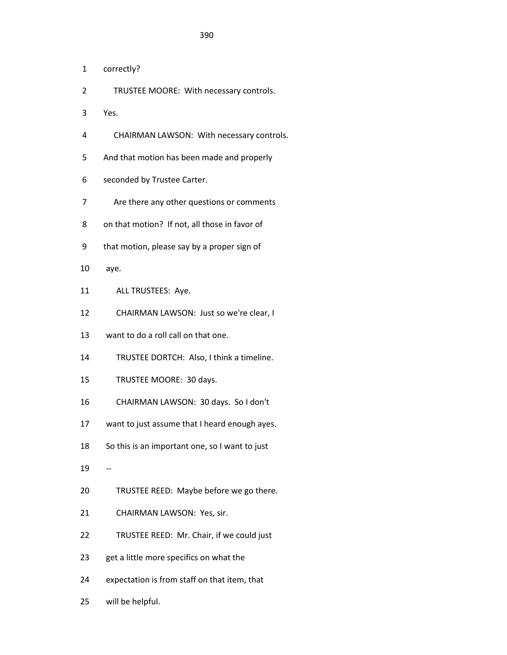- 1 correctly?
- 2 TRUSTEE MOORE: With necessary controls.
- 3 Yes.
- 4 CHAIRMAN LAWSON: With necessary controls.
- 5 And that motion has been made and properly
- 6 seconded by Trustee Carter.
- 7 Are there any other questions or comments
- 8 on that motion? If not, all those in favor of
- 9 that motion, please say by a proper sign of
- 10 aye.
- 11 ALL TRUSTEES: Aye.
- 12 CHAIRMAN LAWSON: Just so we're clear, I
- 13 want to do a roll call on that one.
- 14 TRUSTEE DORTCH: Also, I think a timeline.
- 15 TRUSTEE MOORE: 30 days.
- 16 CHAIRMAN LAWSON: 30 days. So I don't
- 17 want to just assume that I heard enough ayes.
- 18 So this is an important one, so I want to just
- 19 --
- 20 TRUSTEE REED: Maybe before we go there.
- 21 CHAIRMAN LAWSON: Yes, sir.
- 22 TRUSTEE REED: Mr. Chair, if we could just
- 23 get a little more specifics on what the
- 24 expectation is from staff on that item, that
- 25 will be helpful.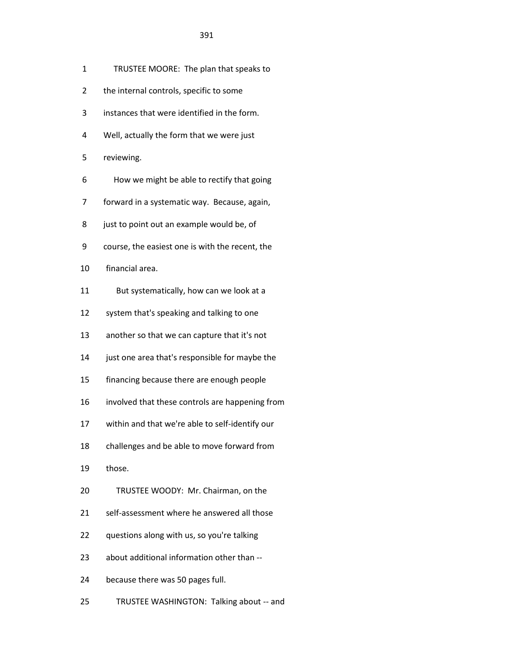- 1 TRUSTEE MOORE: The plan that speaks to
- 2 the internal controls, specific to some
- 3 instances that were identified in the form.
- 4 Well, actually the form that we were just
- 5 reviewing.
- 6 How we might be able to rectify that going
- 7 forward in a systematic way. Because, again,
- 8 just to point out an example would be, of
- 9 course, the easiest one is with the recent, the
- 10 financial area.
- 11 But systematically, how can we look at a
- 12 system that's speaking and talking to one
- 13 another so that we can capture that it's not
- 14 just one area that's responsible for maybe the
- 15 financing because there are enough people
- 16 involved that these controls are happening from
- 17 within and that we're able to self-identify our
- 18 challenges and be able to move forward from
- 19 those.
- 20 TRUSTEE WOODY: Mr. Chairman, on the
- 21 self-assessment where he answered all those
- 22 questions along with us, so you're talking
- 23 about additional information other than --
- 24 because there was 50 pages full.
- 25 TRUSTEE WASHINGTON: Talking about -- and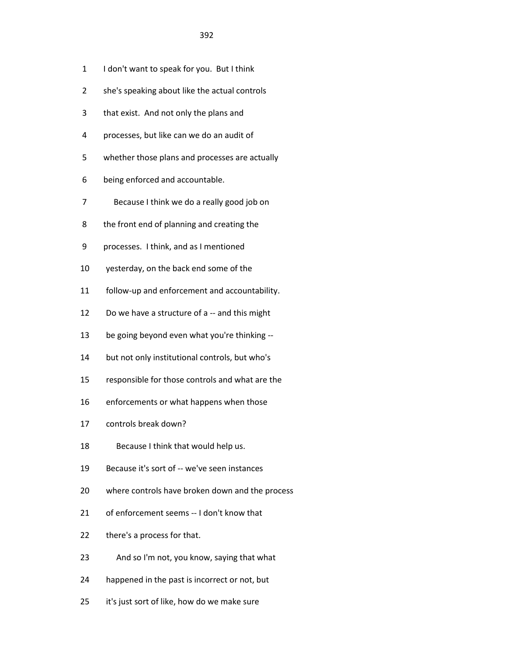- 1 I don't want to speak for you. But I think
- 2 she's speaking about like the actual controls
- 3 that exist. And not only the plans and
- 4 processes, but like can we do an audit of
- 5 whether those plans and processes are actually
- 6 being enforced and accountable.
- 7 Because I think we do a really good job on
- 8 the front end of planning and creating the
- 9 processes. I think, and as I mentioned
- 10 yesterday, on the back end some of the
- 11 follow-up and enforcement and accountability.
- 12 Do we have a structure of a -- and this might
- 13 be going beyond even what you're thinking --
- 14 but not only institutional controls, but who's
- 15 responsible for those controls and what are the
- 16 enforcements or what happens when those
- 17 controls break down?
- 18 Because I think that would help us.
- 19 Because it's sort of -- we've seen instances
- 20 where controls have broken down and the process
- 21 of enforcement seems -- I don't know that
- 22 there's a process for that.
- 23 And so I'm not, you know, saying that what
- 24 happened in the past is incorrect or not, but
- 25 it's just sort of like, how do we make sure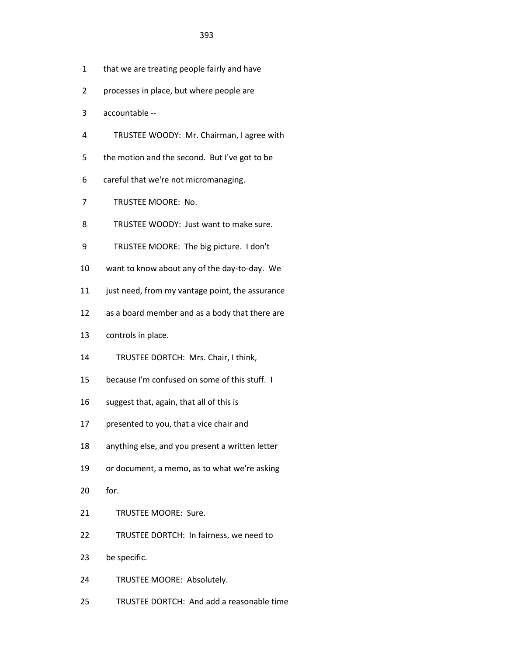- 1 that we are treating people fairly and have
- 2 processes in place, but where people are
- 3 accountable --
- 4 TRUSTEE WOODY: Mr. Chairman, I agree with
- 5 the motion and the second. But I've got to be
- 6 careful that we're not micromanaging.
- 7 TRUSTEE MOORE: No.
- 8 TRUSTEE WOODY: Just want to make sure.
- 9 TRUSTEE MOORE: The big picture. I don't
- 10 want to know about any of the day-to-day. We
- 11 just need, from my vantage point, the assurance
- 12 as a board member and as a body that there are
- 13 controls in place.
- 14 TRUSTEE DORTCH: Mrs. Chair, I think,
- 15 because I'm confused on some of this stuff. I
- 16 suggest that, again, that all of this is
- 17 presented to you, that a vice chair and
- 18 anything else, and you present a written letter
- 19 or document, a memo, as to what we're asking
- 20 for.
- 21 TRUSTEE MOORE: Sure.
- 22 TRUSTEE DORTCH: In fairness, we need to
- 23 be specific.
- 24 TRUSTEE MOORE: Absolutely.
- 25 TRUSTEE DORTCH: And add a reasonable time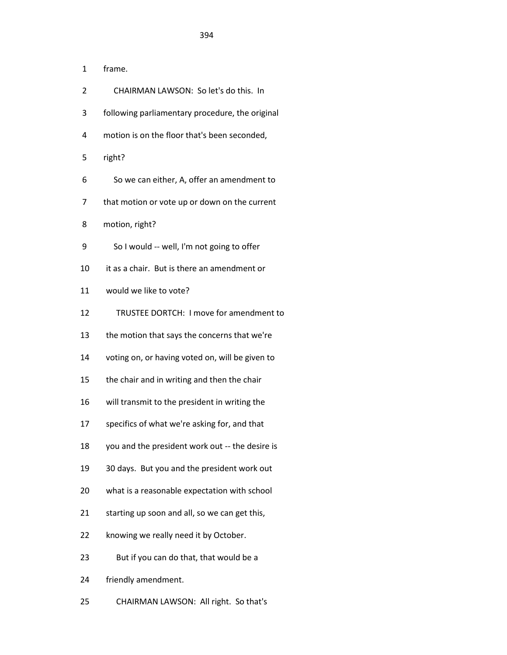- 1 frame.
- 2 CHAIRMAN LAWSON: So let's do this. In
- 3 following parliamentary procedure, the original
- 4 motion is on the floor that's been seconded,
- 5 right?
- 6 So we can either, A, offer an amendment to
- 7 that motion or vote up or down on the current
- 8 motion, right?
- 9 So I would -- well, I'm not going to offer
- 10 it as a chair. But is there an amendment or
- 11 would we like to vote?
- 12 TRUSTEE DORTCH: I move for amendment to
- 13 the motion that says the concerns that we're
- 14 voting on, or having voted on, will be given to
- 15 the chair and in writing and then the chair
- 16 will transmit to the president in writing the
- 17 specifics of what we're asking for, and that
- 18 you and the president work out -- the desire is
- 19 30 days. But you and the president work out
- 20 what is a reasonable expectation with school
- 21 starting up soon and all, so we can get this,
- 22 knowing we really need it by October.
- 23 But if you can do that, that would be a
- 24 friendly amendment.
- 25 CHAIRMAN LAWSON: All right. So that's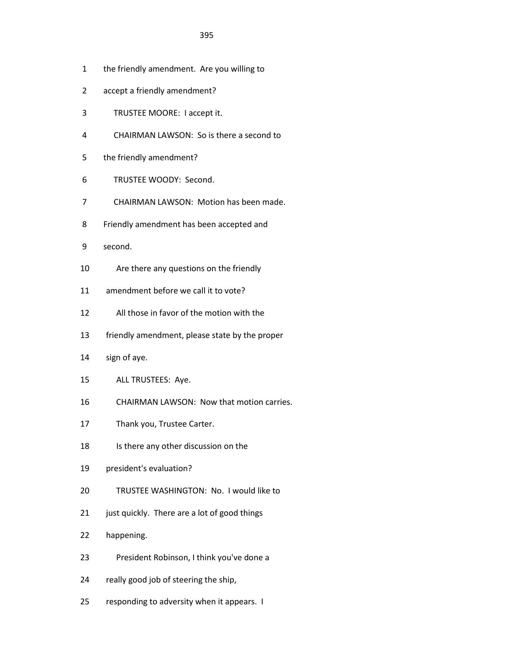- 1 the friendly amendment. Are you willing to
- 2 accept a friendly amendment?
- 3 TRUSTEE MOORE: I accept it.
- 4 CHAIRMAN LAWSON: So is there a second to
- 5 the friendly amendment?
- 6 TRUSTEE WOODY: Second.
- 7 CHAIRMAN LAWSON: Motion has been made.
- 8 Friendly amendment has been accepted and
- 9 second.
- 10 Are there any questions on the friendly
- 11 amendment before we call it to vote?
- 12 All those in favor of the motion with the
- 13 friendly amendment, please state by the proper
- 14 sign of aye.
- 15 ALL TRUSTEES: Aye.
- 16 CHAIRMAN LAWSON: Now that motion carries.
- 17 Thank you, Trustee Carter.
- 18 Is there any other discussion on the
- 19 president's evaluation?
- 20 TRUSTEE WASHINGTON: No. I would like to
- 21 just quickly. There are a lot of good things
- 22 happening.
- 23 President Robinson, I think you've done a
- 24 really good job of steering the ship,
- 25 responding to adversity when it appears. I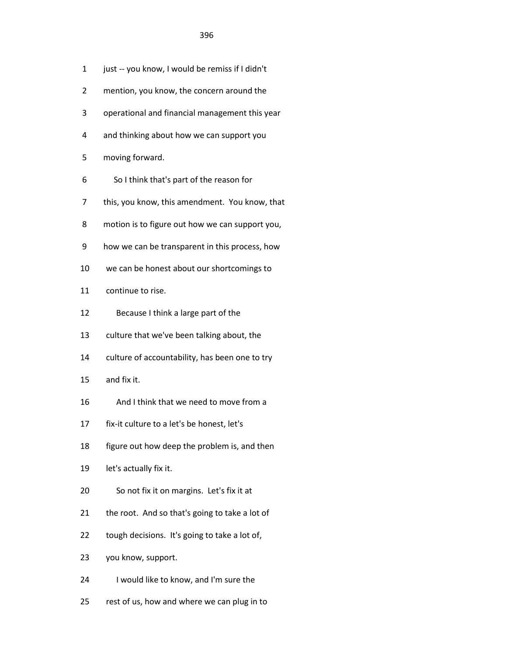- 1 just -- you know, I would be remiss if I didn't
- 2 mention, you know, the concern around the
- 3 operational and financial management this year
- 4 and thinking about how we can support you
- 5 moving forward.
- 6 So I think that's part of the reason for
- 7 this, you know, this amendment. You know, that
- 8 motion is to figure out how we can support you,
- 9 how we can be transparent in this process, how
- 10 we can be honest about our shortcomings to
- 11 continue to rise.
- 12 Because I think a large part of the
- 13 culture that we've been talking about, the
- 14 culture of accountability, has been one to try
- 15 and fix it.
- 16 And I think that we need to move from a
- 17 fix-it culture to a let's be honest, let's
- 18 figure out how deep the problem is, and then
- 19 let's actually fix it.
- 20 So not fix it on margins. Let's fix it at
- 21 the root. And so that's going to take a lot of
- 22 tough decisions. It's going to take a lot of,
- 23 you know, support.
- 24 I would like to know, and I'm sure the
- 25 rest of us, how and where we can plug in to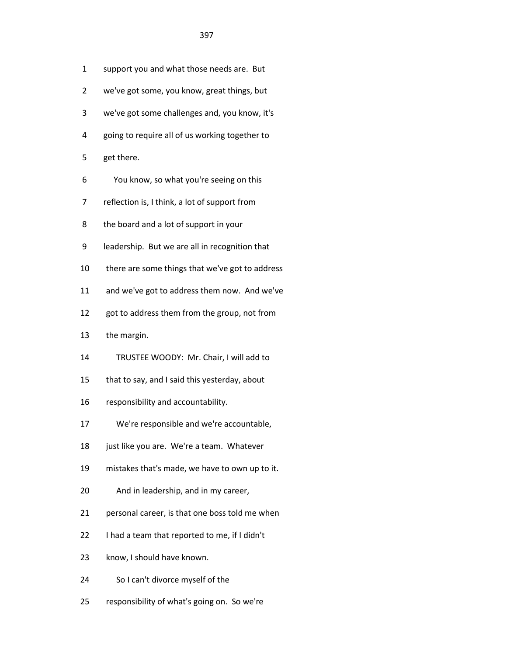| $\mathbf{1}$ | support you and what those needs are. But       |
|--------------|-------------------------------------------------|
| 2            | we've got some, you know, great things, but     |
| 3            | we've got some challenges and, you know, it's   |
| 4            | going to require all of us working together to  |
| 5            | get there.                                      |
| 6            | You know, so what you're seeing on this         |
| 7            | reflection is, I think, a lot of support from   |
| 8            | the board and a lot of support in your          |
| 9            | leadership. But we are all in recognition that  |
| 10           | there are some things that we've got to address |
| 11           | and we've got to address them now. And we've    |
| 12           | got to address them from the group, not from    |
| 13           | the margin.                                     |
| 14           | TRUSTEE WOODY: Mr. Chair, I will add to         |
| 15           | that to say, and I said this yesterday, about   |
| 16           | responsibility and accountability.              |
| 17           | We're responsible and we're accountable,        |
| 18           | just like you are. We're a team. Whatever       |
| 19           | mistakes that's made, we have to own up to it.  |
| 20           | And in leadership, and in my career,            |
| 21           | personal career, is that one boss told me when  |
| 22           | I had a team that reported to me, if I didn't   |
| 23           | know, I should have known.                      |
| 24           | So I can't divorce myself of the                |
| 25           | responsibility of what's going on. So we're     |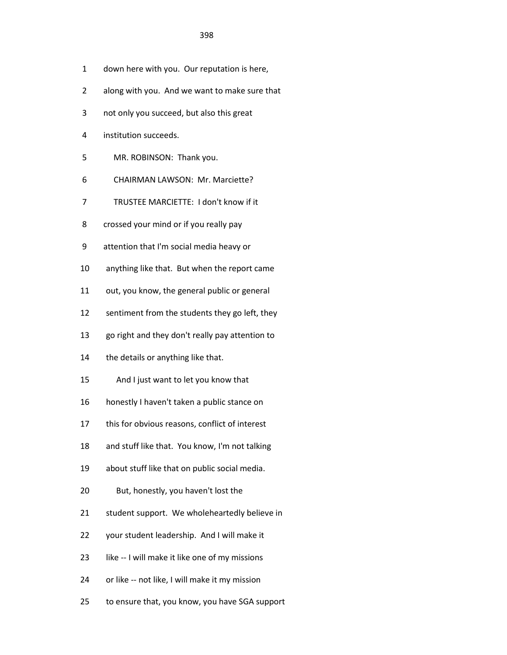- 1 down here with you. Our reputation is here,
- 2 along with you. And we want to make sure that
- 3 not only you succeed, but also this great
- 4 institution succeeds.
- 5 MR. ROBINSON: Thank you.
- 6 CHAIRMAN LAWSON: Mr. Marciette?
- 7 TRUSTEE MARCIETTE: I don't know if it
- 8 crossed your mind or if you really pay
- 9 attention that I'm social media heavy or
- 10 anything like that. But when the report came
- 11 out, you know, the general public or general
- 12 sentiment from the students they go left, they
- 13 go right and they don't really pay attention to
- 14 the details or anything like that.
- 15 And I just want to let you know that
- 16 honestly I haven't taken a public stance on
- 17 this for obvious reasons, conflict of interest
- 18 and stuff like that. You know, I'm not talking
- 19 about stuff like that on public social media.
- 20 But, honestly, you haven't lost the
- 21 student support. We wholeheartedly believe in
- 22 your student leadership. And I will make it
- 23 like -- I will make it like one of my missions
- 24 or like -- not like, I will make it my mission
- 25 to ensure that, you know, you have SGA support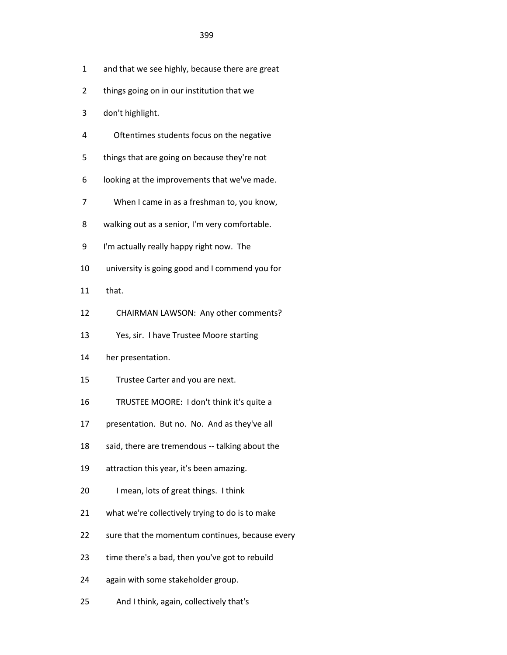- 1 and that we see highly, because there are great
- 2 things going on in our institution that we
- 3 don't highlight.
- 4 Oftentimes students focus on the negative
- 5 things that are going on because they're not
- 6 looking at the improvements that we've made.
- 7 When I came in as a freshman to, you know,
- 8 walking out as a senior, I'm very comfortable.
- 9 I'm actually really happy right now. The
- 10 university is going good and I commend you for
- 11 that.
- 12 CHAIRMAN LAWSON: Any other comments?
- 13 Yes, sir. I have Trustee Moore starting
- 14 her presentation.
- 15 Trustee Carter and you are next.
- 16 TRUSTEE MOORE: I don't think it's quite a
- 17 presentation. But no. No. And as they've all
- 18 said, there are tremendous -- talking about the
- 19 attraction this year, it's been amazing.
- 20 I mean, lots of great things. I think
- 21 what we're collectively trying to do is to make
- 22 sure that the momentum continues, because every
- 23 time there's a bad, then you've got to rebuild
- 24 again with some stakeholder group.
- 25 And I think, again, collectively that's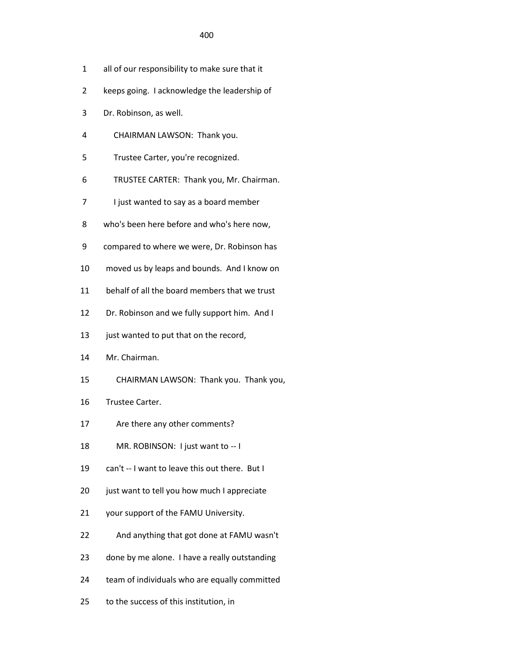<u>400</u>

- 1 all of our responsibility to make sure that it
- 2 keeps going. I acknowledge the leadership of
- 3 Dr. Robinson, as well.
- 4 CHAIRMAN LAWSON: Thank you.
- 5 Trustee Carter, you're recognized.
- 6 TRUSTEE CARTER: Thank you, Mr. Chairman.
- 7 I just wanted to say as a board member
- 8 who's been here before and who's here now,
- 9 compared to where we were, Dr. Robinson has
- 10 moved us by leaps and bounds. And I know on
- 11 behalf of all the board members that we trust
- 12 Dr. Robinson and we fully support him. And I
- 13 just wanted to put that on the record,
- 14 Mr. Chairman.
- 15 CHAIRMAN LAWSON: Thank you. Thank you,
- 16 Trustee Carter.
- 17 Are there any other comments?
- 18 MR. ROBINSON: I just want to -- I
- 19 can't -- I want to leave this out there. But I
- 20 just want to tell you how much I appreciate
- 21 your support of the FAMU University.
- 22 And anything that got done at FAMU wasn't
- 23 done by me alone. I have a really outstanding
- 24 team of individuals who are equally committed
- 25 to the success of this institution, in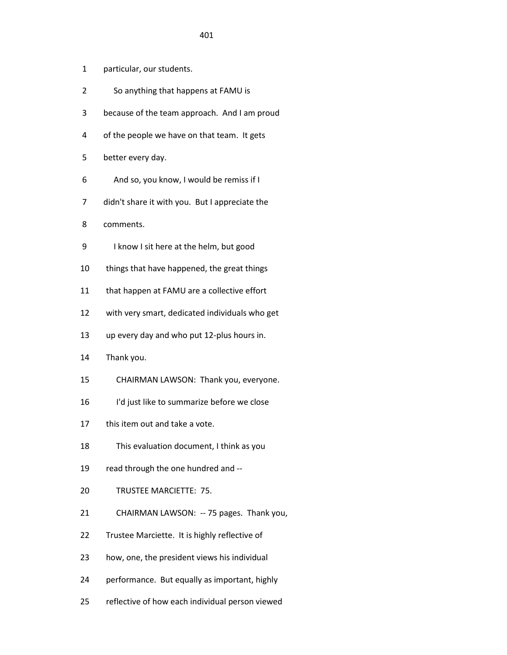- 1 particular, our students.
- 2 So anything that happens at FAMU is
- 3 because of the team approach. And I am proud
- 4 of the people we have on that team. It gets
- 5 better every day.
- 6 And so, you know, I would be remiss if I
- 7 didn't share it with you. But I appreciate the
- 8 comments.
- 9 I know I sit here at the helm, but good
- 10 things that have happened, the great things
- 11 that happen at FAMU are a collective effort
- 12 with very smart, dedicated individuals who get
- 13 up every day and who put 12-plus hours in.
- 14 Thank you.
- 15 CHAIRMAN LAWSON: Thank you, everyone.
- 16 I'd just like to summarize before we close
- 17 this item out and take a vote.
- 18 This evaluation document, I think as you
- 19 read through the one hundred and --
- 20 TRUSTEE MARCIETTE: 75.
- 21 CHAIRMAN LAWSON: -- 75 pages. Thank you,
- 22 Trustee Marciette. It is highly reflective of
- 23 how, one, the president views his individual
- 24 performance. But equally as important, highly
- 25 reflective of how each individual person viewed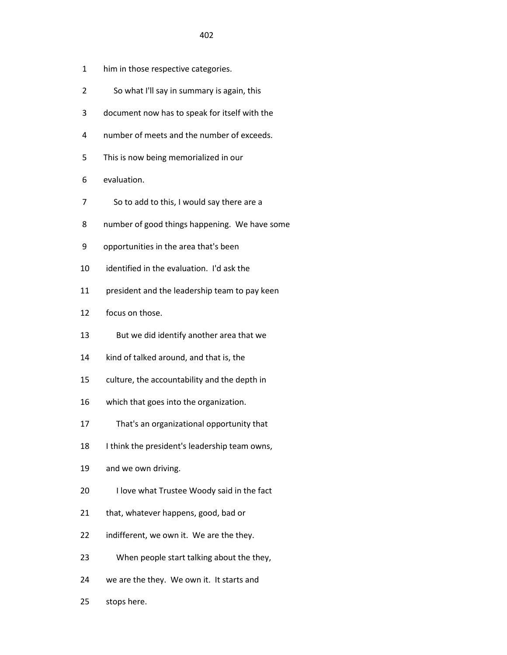- 1 him in those respective categories.
- 2 So what I'll say in summary is again, this
- 3 document now has to speak for itself with the
- 4 number of meets and the number of exceeds.
- 5 This is now being memorialized in our
- 6 evaluation.
- 7 So to add to this, I would say there are a
- 8 number of good things happening. We have some
- 9 opportunities in the area that's been
- 10 identified in the evaluation. I'd ask the
- 11 president and the leadership team to pay keen
- 12 focus on those.
- 13 But we did identify another area that we
- 14 kind of talked around, and that is, the
- 15 culture, the accountability and the depth in
- 16 which that goes into the organization.
- 17 That's an organizational opportunity that
- 18 I think the president's leadership team owns,
- 19 and we own driving.
- 20 I love what Trustee Woody said in the fact
- 21 that, whatever happens, good, bad or
- 22 indifferent, we own it. We are the they.
- 23 When people start talking about the they,
- 24 we are the they. We own it. It starts and
- 25 stops here.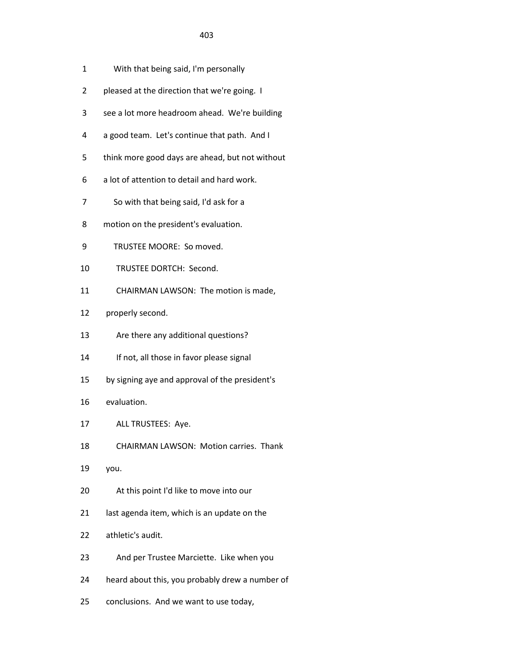- 1 With that being said, I'm personally
- 2 pleased at the direction that we're going. I
- 3 see a lot more headroom ahead. We're building
- 4 a good team. Let's continue that path. And I
- 5 think more good days are ahead, but not without
- 6 a lot of attention to detail and hard work.
- 7 So with that being said, I'd ask for a
- 8 motion on the president's evaluation.
- 9 TRUSTEE MOORE: So moved.
- 10 TRUSTEE DORTCH: Second.
- 11 CHAIRMAN LAWSON: The motion is made,
- 12 properly second.
- 13 Are there any additional questions?
- 14 If not, all those in favor please signal
- 15 by signing aye and approval of the president's
- 16 evaluation.
- 17 ALL TRUSTEES: Aye.
- 18 CHAIRMAN LAWSON: Motion carries. Thank
- 19 you.
- 20 At this point I'd like to move into our
- 21 last agenda item, which is an update on the
- 22 athletic's audit.
- 23 And per Trustee Marciette. Like when you
- 24 heard about this, you probably drew a number of
- 25 conclusions. And we want to use today,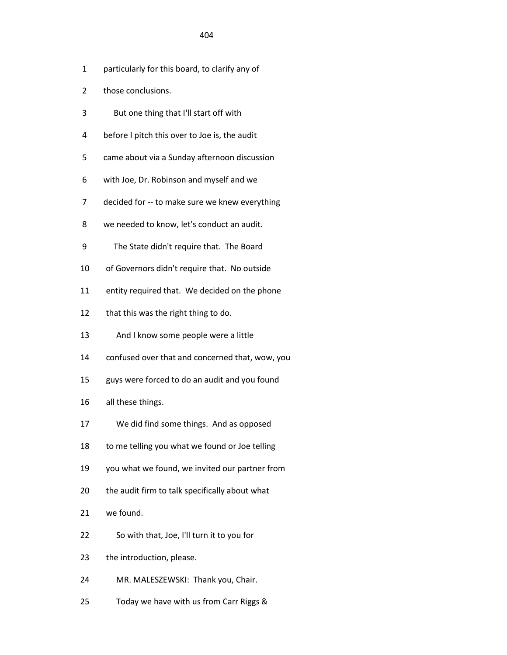## <u>404</u>

- 1 particularly for this board, to clarify any of
- 2 those conclusions.
- 3 But one thing that I'll start off with
- 4 before I pitch this over to Joe is, the audit
- 5 came about via a Sunday afternoon discussion
- 6 with Joe, Dr. Robinson and myself and we
- 7 decided for -- to make sure we knew everything
- 8 we needed to know, let's conduct an audit.
- 9 The State didn't require that. The Board
- 10 of Governors didn't require that. No outside
- 11 entity required that. We decided on the phone
- 12 that this was the right thing to do.
- 13 And I know some people were a little
- 14 confused over that and concerned that, wow, you
- 15 guys were forced to do an audit and you found
- 16 all these things.
- 17 We did find some things. And as opposed
- 18 to me telling you what we found or Joe telling
- 19 you what we found, we invited our partner from
- 20 the audit firm to talk specifically about what
- 21 we found.
- 22 So with that, Joe, I'll turn it to you for
- 23 the introduction, please.
- 24 MR. MALESZEWSKI: Thank you, Chair.
- 25 Today we have with us from Carr Riggs &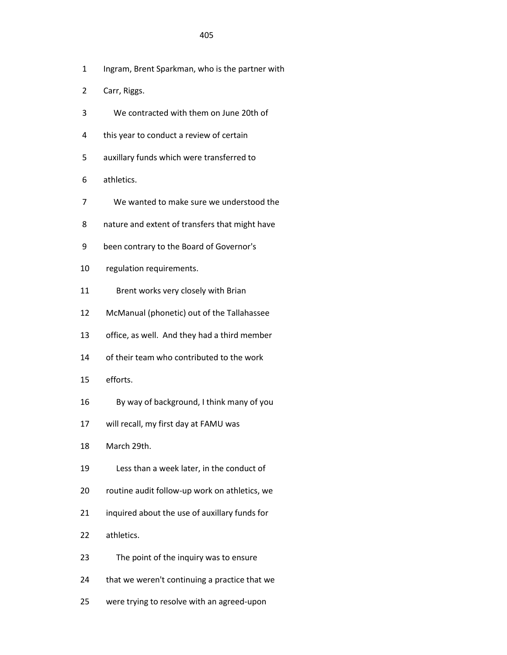## <u>405 and 2012 and 2013</u>

- 1 Ingram, Brent Sparkman, who is the partner with
- 2 Carr, Riggs.
- 3 We contracted with them on June 20th of
- 4 this year to conduct a review of certain
- 5 auxillary funds which were transferred to
- 6 athletics.
- 7 We wanted to make sure we understood the
- 8 nature and extent of transfers that might have
- 9 been contrary to the Board of Governor's
- 10 regulation requirements.
- 11 Brent works very closely with Brian
- 12 McManual (phonetic) out of the Tallahassee
- 13 office, as well. And they had a third member
- 14 of their team who contributed to the work
- 15 efforts.
- 16 By way of background, I think many of you
- 17 will recall, my first day at FAMU was
- 18 March 29th.
- 19 Less than a week later, in the conduct of
- 20 routine audit follow-up work on athletics, we
- 21 inquired about the use of auxillary funds for
- 22 athletics.
- 23 The point of the inquiry was to ensure
- 24 that we weren't continuing a practice that we
- 25 were trying to resolve with an agreed-upon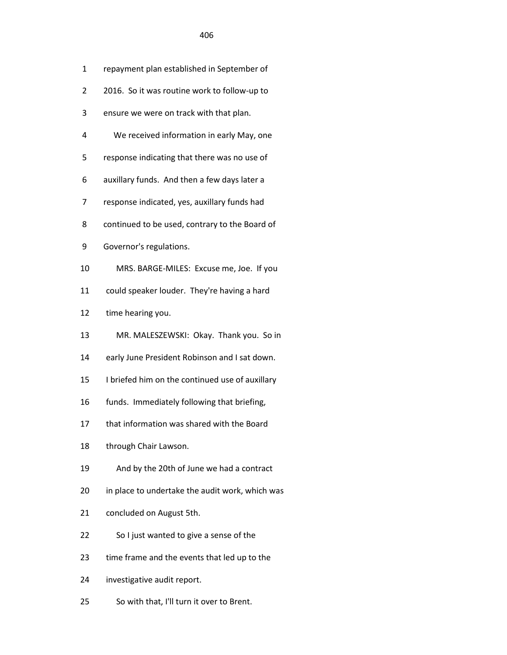|  | repayment plan established in September of |
|--|--------------------------------------------|
|--|--------------------------------------------|

- 2 2016. So it was routine work to follow-up to
- 3 ensure we were on track with that plan.
- 4 We received information in early May, one
- 5 response indicating that there was no use of
- 6 auxillary funds. And then a few days later a
- 7 response indicated, yes, auxillary funds had
- 8 continued to be used, contrary to the Board of
- 9 Governor's regulations.
- 10 MRS. BARGE-MILES: Excuse me, Joe. If you
- 11 could speaker louder. They're having a hard
- 12 time hearing you.
- 13 MR. MALESZEWSKI: Okay. Thank you. So in
- 14 early June President Robinson and I sat down.
- 15 I briefed him on the continued use of auxillary
- 16 funds. Immediately following that briefing,
- 17 that information was shared with the Board
- 18 through Chair Lawson.
- 19 And by the 20th of June we had a contract
- 20 in place to undertake the audit work, which was
- 21 concluded on August 5th.
- 22 So I just wanted to give a sense of the
- 23 time frame and the events that led up to the
- 24 investigative audit report.
- 25 So with that, I'll turn it over to Brent.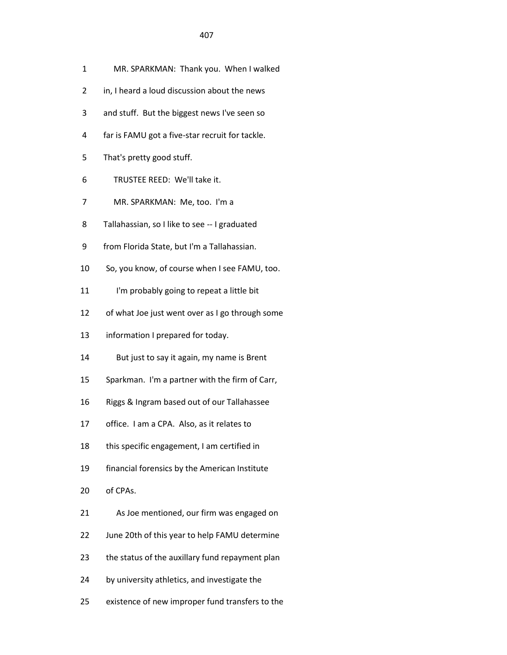- 1 MR. SPARKMAN: Thank you. When I walked
- 2 in, I heard a loud discussion about the news
- 3 and stuff. But the biggest news I've seen so
- 4 far is FAMU got a five-star recruit for tackle.
- 5 That's pretty good stuff.

<u>407 and 2012</u>

- 6 TRUSTEE REED: We'll take it.
- 7 MR. SPARKMAN: Me, too. I'm a
- 8 Tallahassian, so I like to see -- I graduated
- 9 from Florida State, but I'm a Tallahassian.
- 10 So, you know, of course when I see FAMU, too.
- 11 I'm probably going to repeat a little bit
- 12 of what Joe just went over as I go through some
- 13 information I prepared for today.
- 14 But just to say it again, my name is Brent
- 15 Sparkman. I'm a partner with the firm of Carr,
- 16 Riggs & Ingram based out of our Tallahassee
- 17 office. I am a CPA. Also, as it relates to
- 18 this specific engagement, I am certified in
- 19 financial forensics by the American Institute
- 20 of CPAs.
- 21 As Joe mentioned, our firm was engaged on
- 22 June 20th of this year to help FAMU determine
- 23 the status of the auxillary fund repayment plan
- 24 by university athletics, and investigate the
- 25 existence of new improper fund transfers to the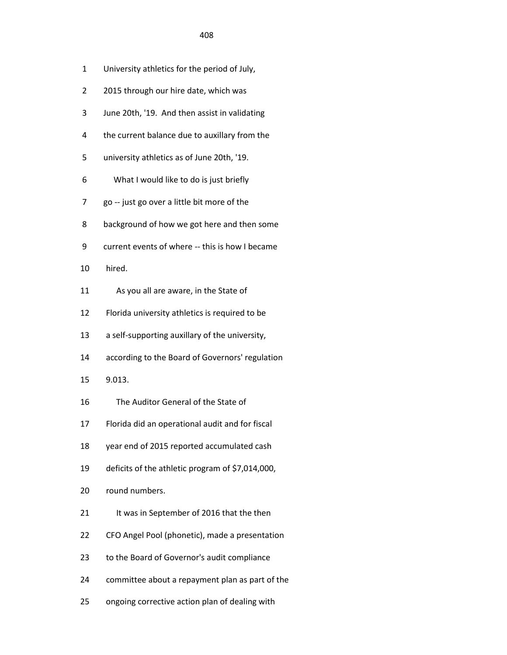| 1              | University athletics for the period of July,     |
|----------------|--------------------------------------------------|
| $\overline{2}$ | 2015 through our hire date, which was            |
| 3              | June 20th, '19. And then assist in validating    |
| 4              | the current balance due to auxillary from the    |
| 5              | university athletics as of June 20th, '19.       |
| 6              | What I would like to do is just briefly          |
| 7              | go -- just go over a little bit more of the      |
| 8              | background of how we got here and then some      |
| 9              | current events of where -- this is how I became  |
| 10             | hired.                                           |
| 11             | As you all are aware, in the State of            |
| 12             | Florida university athletics is required to be   |
| 13             | a self-supporting auxillary of the university,   |
| 14             | according to the Board of Governors' regulation  |
| 15             | 9.013.                                           |
| 16             | The Auditor General of the State of              |
| 17             | Florida did an operational audit and for fiscal  |
| 18             | year end of 2015 reported accumulated cash       |
| 19             | deficits of the athletic program of \$7,014,000, |
| 20             | round numbers.                                   |
| 21             | It was in September of 2016 that the then        |
| 22             | CFO Angel Pool (phonetic), made a presentation   |
| 23             | to the Board of Governor's audit compliance      |
| 24             | committee about a repayment plan as part of the  |
|                |                                                  |

25 ongoing corrective action plan of dealing with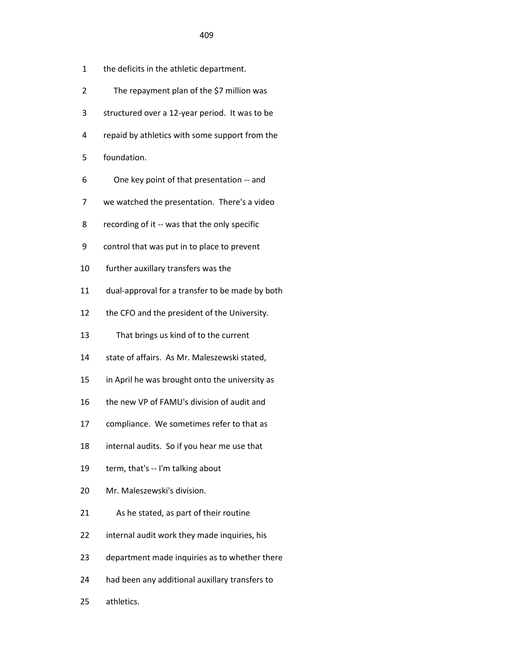- 2 The repayment plan of the \$7 million was
- 3 structured over a 12-year period. It was to be
- 4 repaid by athletics with some support from the
- 5 foundation.
- 6 One key point of that presentation -- and
- 7 we watched the presentation. There's a video
- 8 recording of it -- was that the only specific
- 9 control that was put in to place to prevent
- 10 further auxillary transfers was the
- 11 dual-approval for a transfer to be made by both
- 12 the CFO and the president of the University.
- 13 That brings us kind of to the current
- 14 state of affairs. As Mr. Maleszewski stated,
- 15 in April he was brought onto the university as
- 16 the new VP of FAMU's division of audit and
- 17 compliance. We sometimes refer to that as
- 18 internal audits. So if you hear me use that
- 19 term, that's -- I'm talking about
- 20 Mr. Maleszewski's division.
- 21 As he stated, as part of their routine
- 22 internal audit work they made inquiries, his
- 23 department made inquiries as to whether there
- 24 had been any additional auxillary transfers to
- 25 athletics.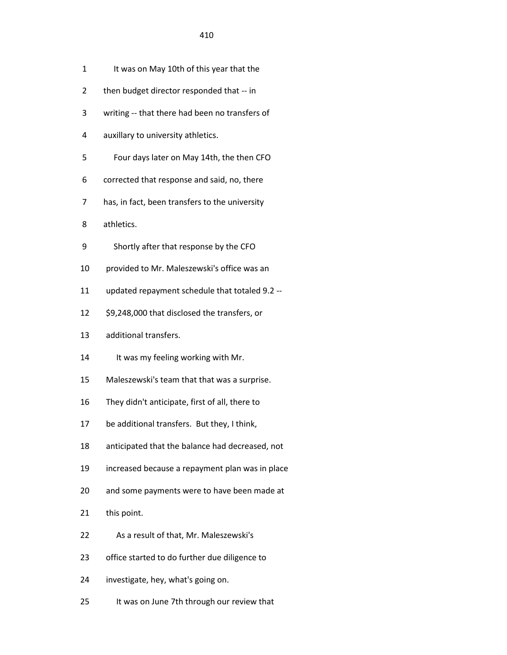- 1 It was on May 10th of this year that the
- 2 then budget director responded that -- in
- 3 writing -- that there had been no transfers of
- 4 auxillary to university athletics.
- 5 Four days later on May 14th, the then CFO
- 6 corrected that response and said, no, there
- 7 has, in fact, been transfers to the university
- 8 athletics.
- 9 Shortly after that response by the CFO
- 10 provided to Mr. Maleszewski's office was an
- 11 updated repayment schedule that totaled 9.2 --
- 12 \$9,248,000 that disclosed the transfers, or
- 13 additional transfers.
- 14 It was my feeling working with Mr.
- 15 Maleszewski's team that that was a surprise.
- 16 They didn't anticipate, first of all, there to
- 17 be additional transfers. But they, I think,
- 18 anticipated that the balance had decreased, not
- 19 increased because a repayment plan was in place
- 20 and some payments were to have been made at
- 21 this point.
- 22 As a result of that, Mr. Maleszewski's
- 23 office started to do further due diligence to
- 24 investigate, hey, what's going on.
- 25 It was on June 7th through our review that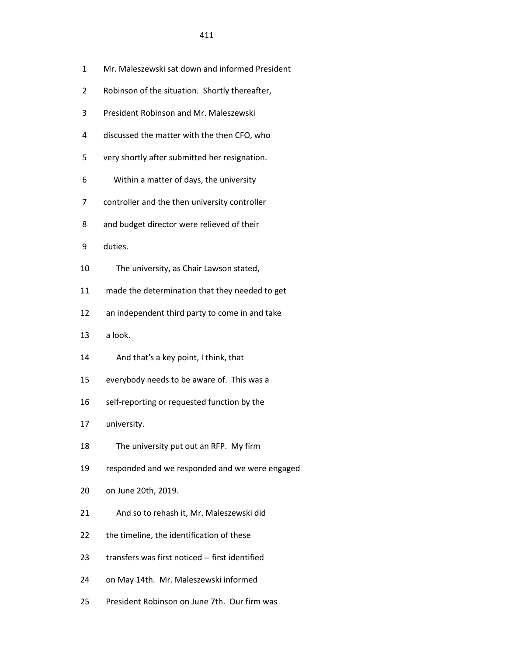- 1 Mr. Maleszewski sat down and informed President
- 2 Robinson of the situation. Shortly thereafter,
- 3 President Robinson and Mr. Maleszewski
- 4 discussed the matter with the then CFO, who
- 5 very shortly after submitted her resignation.
- 6 Within a matter of days, the university
- 7 controller and the then university controller
- 8 and budget director were relieved of their
- 9 duties.
- 10 The university, as Chair Lawson stated,
- 11 made the determination that they needed to get
- 12 an independent third party to come in and take
- 13 a look.
- 14 And that's a key point, I think, that
- 15 everybody needs to be aware of. This was a
- 16 self-reporting or requested function by the
- 17 university.
- 18 The university put out an RFP. My firm
- 19 responded and we responded and we were engaged
- 20 on June 20th, 2019.
- 21 And so to rehash it, Mr. Maleszewski did
- 22 the timeline, the identification of these
- 23 transfers was first noticed -- first identified
- 24 on May 14th. Mr. Maleszewski informed
- 25 President Robinson on June 7th. Our firm was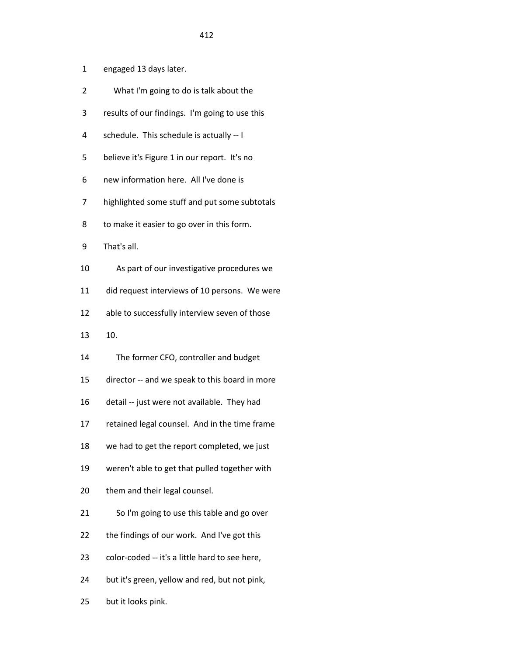- 1 engaged 13 days later.
- 2 What I'm going to do is talk about the
- 3 results of our findings. I'm going to use this
- 4 schedule. This schedule is actually -- I
- 5 believe it's Figure 1 in our report. It's no
- 6 new information here. All I've done is
- 7 highlighted some stuff and put some subtotals
- 8 to make it easier to go over in this form.
- 9 That's all.
- 10 As part of our investigative procedures we
- 11 did request interviews of 10 persons. We were
- 12 able to successfully interview seven of those
- 13 10.
- 14 The former CFO, controller and budget
- 15 director -- and we speak to this board in more
- 16 detail -- just were not available. They had
- 17 retained legal counsel. And in the time frame
- 18 we had to get the report completed, we just
- 19 weren't able to get that pulled together with
- 20 them and their legal counsel.
- 21 So I'm going to use this table and go over
- 22 the findings of our work. And I've got this
- 23 color-coded -- it's a little hard to see here,
- 24 but it's green, yellow and red, but not pink,
- 25 but it looks pink.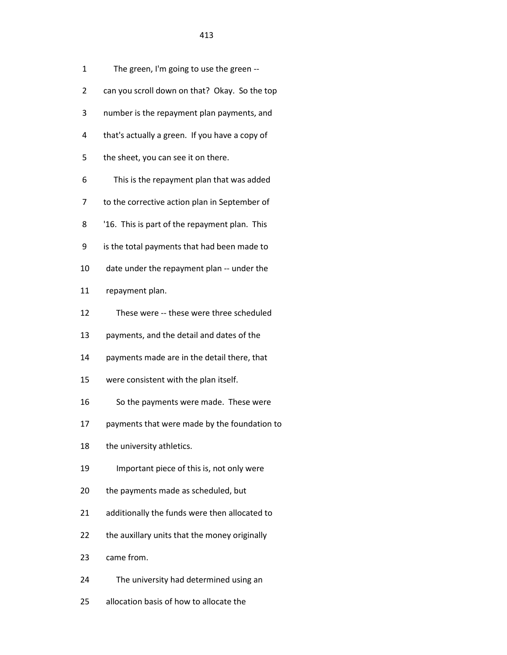|   | 413                                            |
|---|------------------------------------------------|
| 1 | The green, I'm going to use the green --       |
| 2 | can you scroll down on that? Okay. So the top  |
| 3 | number is the repayment plan payments, and     |
| 4 | that's actually a green. If you have a copy of |
| 5 | the sheet, you can see it on there.            |

- 6 This is the repayment plan that was added
- 7 to the corrective action plan in September of
- 8 '16. This is part of the repayment plan. This
- 9 is the total payments that had been made to
- 10 date under the repayment plan -- under the
- 11 repayment plan.
- 12 These were -- these were three scheduled
- 13 payments, and the detail and dates of the
- 14 payments made are in the detail there, that
- 15 were consistent with the plan itself.
- 16 So the payments were made. These were
- 17 payments that were made by the foundation to
- 18 the university athletics.
- 19 Important piece of this is, not only were
- 20 the payments made as scheduled, but
- 21 additionally the funds were then allocated to
- 22 the auxillary units that the money originally
- 23 came from.
- 24 The university had determined using an
- 25 allocation basis of how to allocate the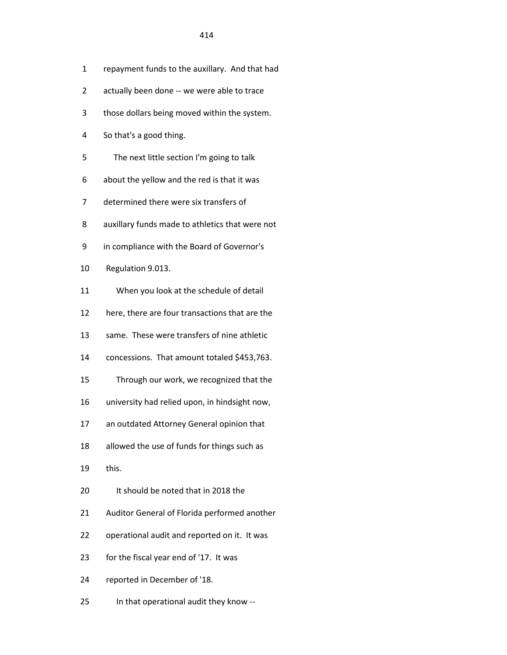- 1 repayment funds to the auxillary. And that had
- 2 actually been done -- we were able to trace
- 3 those dollars being moved within the system.
- 4 So that's a good thing.
- 5 The next little section I'm going to talk
- 6 about the yellow and the red is that it was
- 7 determined there were six transfers of
- 8 auxillary funds made to athletics that were not
- 9 in compliance with the Board of Governor's
- 10 Regulation 9.013.
- 11 When you look at the schedule of detail
- 12 here, there are four transactions that are the
- 13 same. These were transfers of nine athletic
- 14 concessions. That amount totaled \$453,763.
- 15 Through our work, we recognized that the
- 16 university had relied upon, in hindsight now,
- 17 an outdated Attorney General opinion that
- 18 allowed the use of funds for things such as
- 19 this.
- 20 It should be noted that in 2018 the
- 21 Auditor General of Florida performed another
- 22 operational audit and reported on it. It was
- 23 for the fiscal year end of '17. It was
- 24 reported in December of '18.
- 25 In that operational audit they know --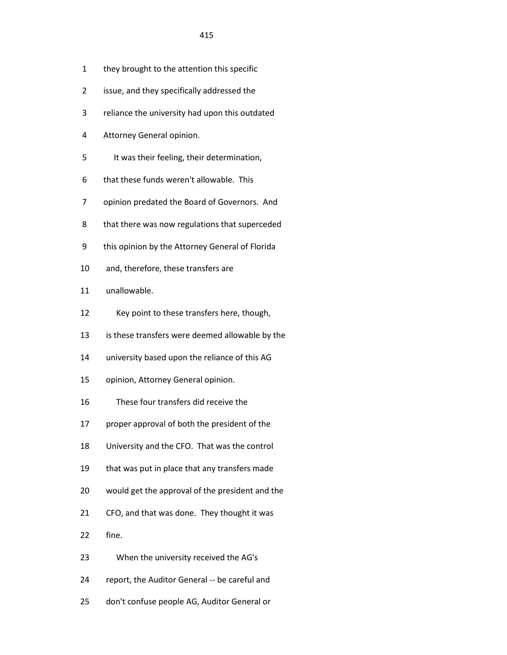- 1 they brought to the attention this specific
- 2 issue, and they specifically addressed the
- 3 reliance the university had upon this outdated
- 4 Attorney General opinion.
- 5 It was their feeling, their determination,
- 6 that these funds weren't allowable. This
- 7 opinion predated the Board of Governors. And
- 8 that there was now regulations that superceded
- 9 this opinion by the Attorney General of Florida
- 10 and, therefore, these transfers are
- 11 unallowable.
- 12 Key point to these transfers here, though,
- 13 is these transfers were deemed allowable by the
- 14 university based upon the reliance of this AG
- 15 opinion, Attorney General opinion.
- 16 These four transfers did receive the
- 17 proper approval of both the president of the
- 18 University and the CFO. That was the control
- 19 that was put in place that any transfers made
- 20 would get the approval of the president and the
- 21 CFO, and that was done. They thought it was
- 22 fine.
- 23 When the university received the AG's
- 24 report, the Auditor General -- be careful and
- 25 don't confuse people AG, Auditor General or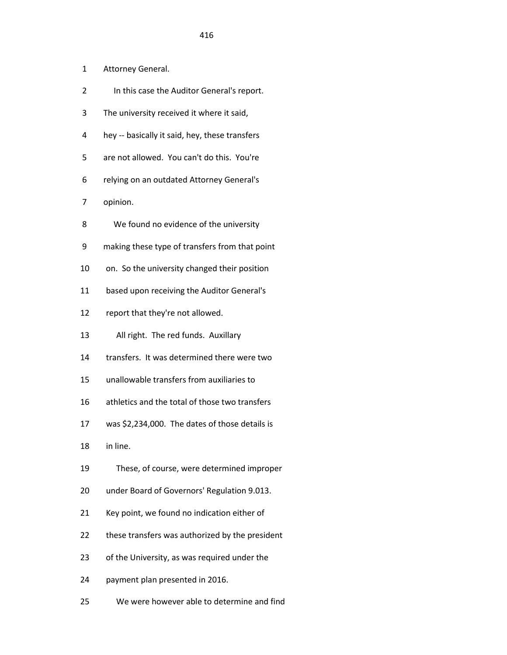- 1 Attorney General.
- 2 In this case the Auditor General's report.
- 3 The university received it where it said,
- 4 hey -- basically it said, hey, these transfers
- 5 are not allowed. You can't do this. You're
- 6 relying on an outdated Attorney General's
- 7 opinion.
- 8 We found no evidence of the university
- 9 making these type of transfers from that point
- 10 on. So the university changed their position
- 11 based upon receiving the Auditor General's
- 12 report that they're not allowed.
- 13 All right. The red funds. Auxillary
- 14 transfers. It was determined there were two
- 15 unallowable transfers from auxiliaries to
- 16 athletics and the total of those two transfers
- 17 was \$2,234,000. The dates of those details is
- 18 in line.
- 19 These, of course, were determined improper
- 20 under Board of Governors' Regulation 9.013.
- 21 Key point, we found no indication either of
- 22 these transfers was authorized by the president
- 23 of the University, as was required under the
- 24 payment plan presented in 2016.
- 25 We were however able to determine and find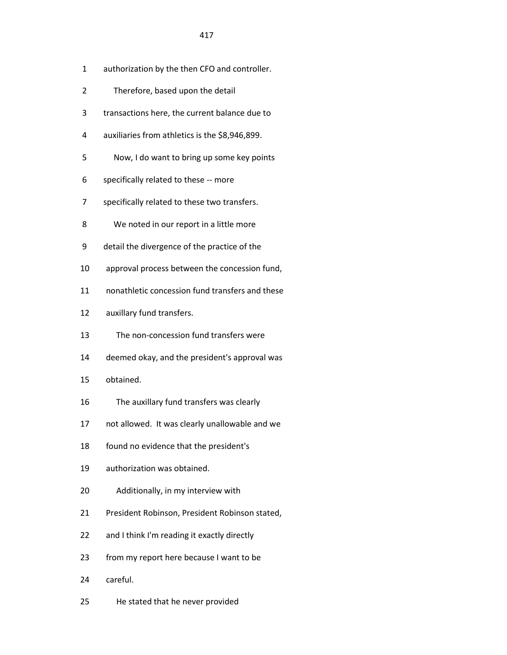- 1 authorization by the then CFO and controller.
- 2 Therefore, based upon the detail
- 3 transactions here, the current balance due to
- 4 auxiliaries from athletics is the \$8,946,899.
- 5 Now, I do want to bring up some key points
- 6 specifically related to these -- more
- 7 specifically related to these two transfers.
- 8 We noted in our report in a little more
- 9 detail the divergence of the practice of the
- 10 approval process between the concession fund,
- 11 nonathletic concession fund transfers and these
- 12 auxillary fund transfers.
- 13 The non-concession fund transfers were
- 14 deemed okay, and the president's approval was
- 15 obtained.
- 16 The auxillary fund transfers was clearly
- 17 not allowed. It was clearly unallowable and we
- 18 found no evidence that the president's
- 19 authorization was obtained.
- 20 Additionally, in my interview with
- 21 President Robinson, President Robinson stated,
- 22 and I think I'm reading it exactly directly
- 23 from my report here because I want to be
- 24 careful.
- 25 He stated that he never provided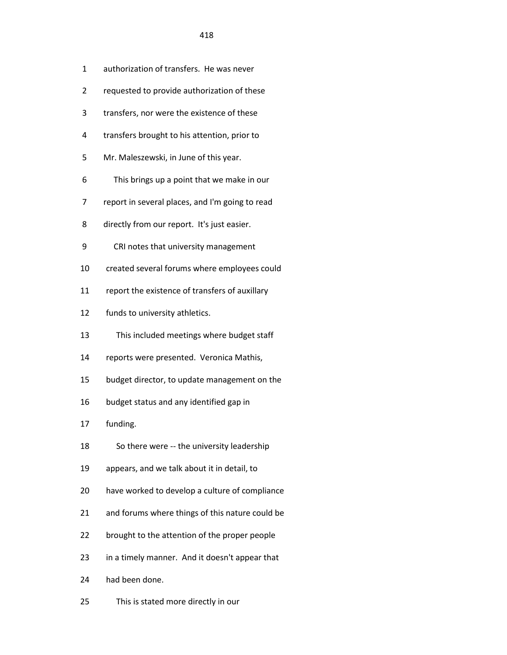- 2 requested to provide authorization of these
- 3 transfers, nor were the existence of these
- 4 transfers brought to his attention, prior to
- 5 Mr. Maleszewski, in June of this year.
- 6 This brings up a point that we make in our
- 7 report in several places, and I'm going to read
- 8 directly from our report. It's just easier.
- 9 CRI notes that university management
- 10 created several forums where employees could
- 11 report the existence of transfers of auxillary
- 12 funds to university athletics.
- 13 This included meetings where budget staff
- 14 reports were presented. Veronica Mathis,
- 15 budget director, to update management on the
- 16 budget status and any identified gap in
- 17 funding.
- 18 So there were -- the university leadership
- 19 appears, and we talk about it in detail, to
- 20 have worked to develop a culture of compliance
- 21 and forums where things of this nature could be
- 22 brought to the attention of the proper people
- 23 in a timely manner. And it doesn't appear that
- 24 had been done.
- 25 This is stated more directly in our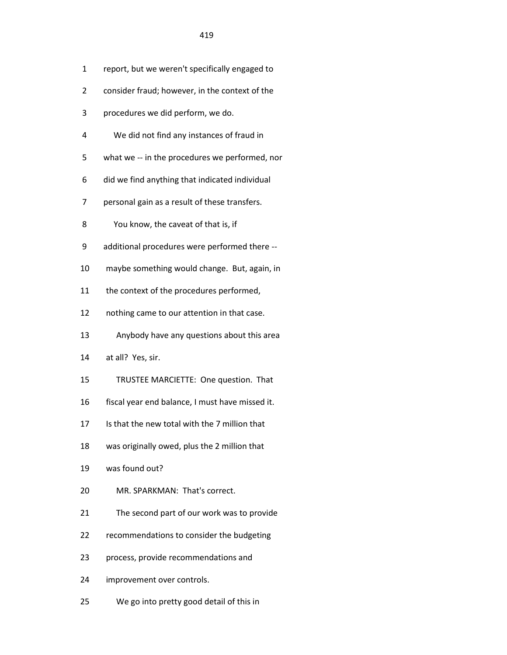- 1 report, but we weren't specifically engaged to
- 2 consider fraud; however, in the context of the
- 3 procedures we did perform, we do.
- 4 We did not find any instances of fraud in
- 5 what we -- in the procedures we performed, nor
- 6 did we find anything that indicated individual
- 7 personal gain as a result of these transfers.
- 8 You know, the caveat of that is, if
- 9 additional procedures were performed there --
- 10 maybe something would change. But, again, in
- 11 the context of the procedures performed,
- 12 nothing came to our attention in that case.
- 13 Anybody have any questions about this area
- 14 at all? Yes, sir.
- 15 TRUSTEE MARCIETTE: One question. That
- 16 fiscal year end balance, I must have missed it.
- 17 Is that the new total with the 7 million that
- 18 was originally owed, plus the 2 million that
- 19 was found out?
- 20 MR. SPARKMAN: That's correct.
- 21 The second part of our work was to provide
- 22 recommendations to consider the budgeting
- 23 process, provide recommendations and
- 24 improvement over controls.
- 25 We go into pretty good detail of this in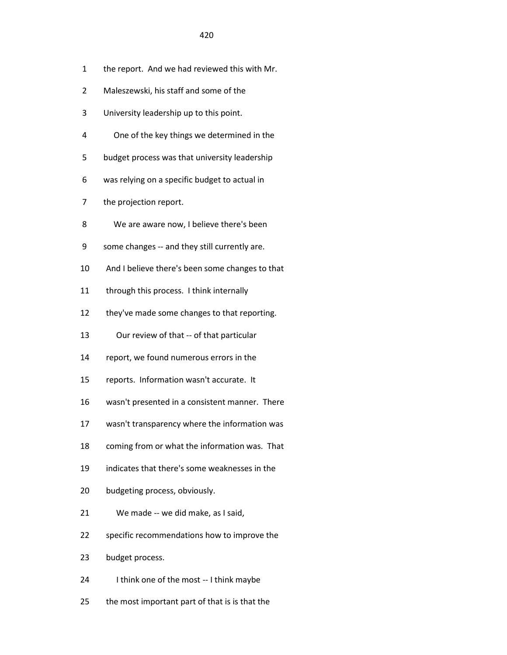- 1 the report. And we had reviewed this with Mr.
- 2 Maleszewski, his staff and some of the
- 3 University leadership up to this point.
- 4 One of the key things we determined in the
- 5 budget process was that university leadership
- 6 was relying on a specific budget to actual in
- 7 the projection report.
- 8 We are aware now, I believe there's been
- 9 some changes -- and they still currently are.
- 10 And I believe there's been some changes to that
- 11 through this process. I think internally
- 12 they've made some changes to that reporting.
- 13 Our review of that -- of that particular
- 14 report, we found numerous errors in the
- 15 reports. Information wasn't accurate. It
- 16 wasn't presented in a consistent manner. There
- 17 wasn't transparency where the information was
- 18 coming from or what the information was. That
- 19 indicates that there's some weaknesses in the
- 20 budgeting process, obviously.
- 21 We made -- we did make, as I said,
- 22 specific recommendations how to improve the
- 23 budget process.
- 24 I think one of the most -- I think maybe
- 25 the most important part of that is is that the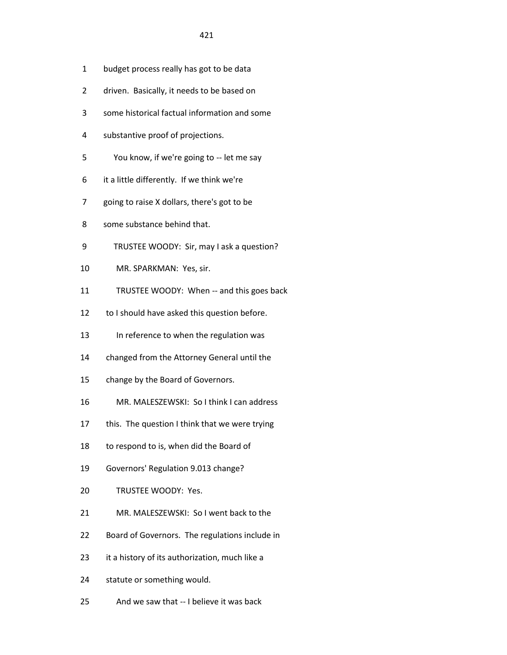- 1 budget process really has got to be data
- 2 driven. Basically, it needs to be based on
- 3 some historical factual information and some
- 4 substantive proof of projections.
- 5 You know, if we're going to -- let me say
- 6 it a little differently. If we think we're
- 7 going to raise X dollars, there's got to be
- 8 some substance behind that.
- 9 TRUSTEE WOODY: Sir, may I ask a question?
- 10 MR. SPARKMAN: Yes, sir.
- 11 TRUSTEE WOODY: When -- and this goes back
- 12 to I should have asked this question before.
- 13 In reference to when the regulation was
- 14 changed from the Attorney General until the
- 15 change by the Board of Governors.
- 16 MR. MALESZEWSKI: So I think I can address
- 17 this. The question I think that we were trying
- 18 to respond to is, when did the Board of
- 19 Governors' Regulation 9.013 change?
- 20 TRUSTEE WOODY: Yes.
- 21 MR. MALESZEWSKI: So I went back to the
- 22 Board of Governors. The regulations include in
- 23 it a history of its authorization, much like a
- 24 statute or something would.
- 25 And we saw that -- I believe it was back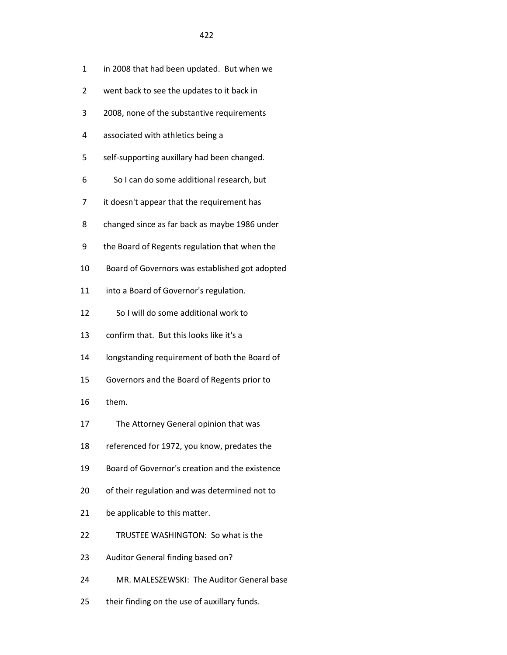- 1 in 2008 that had been updated. But when we
- 2 went back to see the updates to it back in
- 3 2008, none of the substantive requirements
- 4 associated with athletics being a
- 5 self-supporting auxillary had been changed.
- 6 So I can do some additional research, but
- 7 it doesn't appear that the requirement has
- 8 changed since as far back as maybe 1986 under
- 9 the Board of Regents regulation that when the
- 10 Board of Governors was established got adopted
- 11 into a Board of Governor's regulation.
- 12 So I will do some additional work to
- 13 confirm that. But this looks like it's a
- 14 longstanding requirement of both the Board of
- 15 Governors and the Board of Regents prior to
- 16 them.
- 17 The Attorney General opinion that was
- 18 referenced for 1972, you know, predates the
- 19 Board of Governor's creation and the existence
- 20 of their regulation and was determined not to
- 21 be applicable to this matter.
- 22 TRUSTEE WASHINGTON: So what is the
- 23 Auditor General finding based on?
- 24 MR. MALESZEWSKI: The Auditor General base
- 25 their finding on the use of auxillary funds.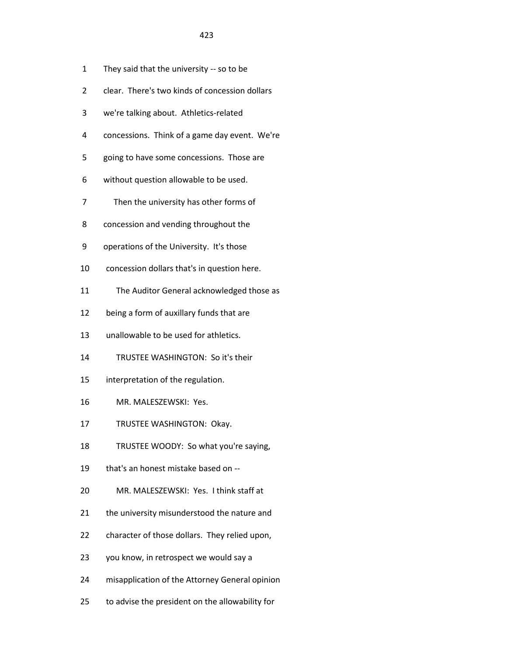- 1 They said that the university -- so to be
- 2 clear. There's two kinds of concession dollars
- 3 we're talking about. Athletics-related
- 4 concessions. Think of a game day event. We're
- 5 going to have some concessions. Those are
- 6 without question allowable to be used.
- 7 Then the university has other forms of
- 8 concession and vending throughout the
- 9 operations of the University. It's those
- 10 concession dollars that's in question here.
- 11 The Auditor General acknowledged those as
- 12 being a form of auxillary funds that are
- 13 unallowable to be used for athletics.
- 14 TRUSTEE WASHINGTON: So it's their
- 15 interpretation of the regulation.
- 16 MR. MALESZEWSKI: Yes.
- 17 TRUSTEE WASHINGTON: Okay.
- 18 TRUSTEE WOODY: So what you're saying,
- 19 that's an honest mistake based on --
- 20 MR. MALESZEWSKI: Yes. I think staff at
- 21 the university misunderstood the nature and
- 22 character of those dollars. They relied upon,
- 23 you know, in retrospect we would say a
- 24 misapplication of the Attorney General opinion
- 25 to advise the president on the allowability for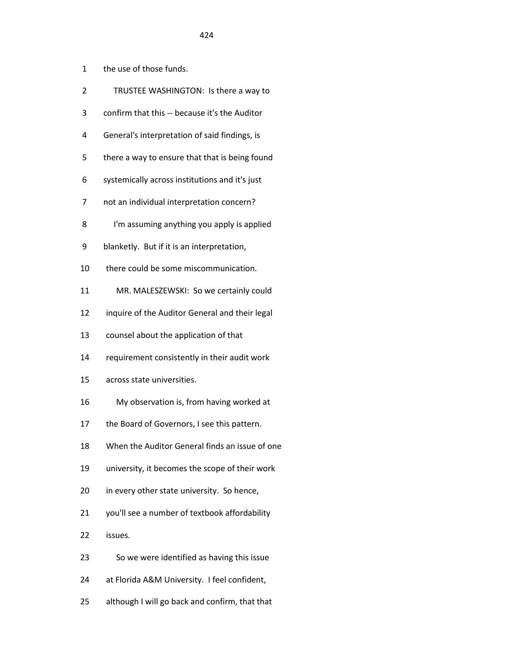- 1 the use of those funds.
- 2 TRUSTEE WASHINGTON: Is there a way to
- 3 confirm that this -- because it's the Auditor
- 4 General's interpretation of said findings, is
- 5 there a way to ensure that that is being found
- 6 systemically across institutions and it's just
- 7 not an individual interpretation concern?
- 8 I'm assuming anything you apply is applied
- 9 blanketly. But if it is an interpretation,
- 10 there could be some miscommunication.
- 11 MR. MALESZEWSKI: So we certainly could
- 12 inquire of the Auditor General and their legal
- 13 counsel about the application of that
- 14 requirement consistently in their audit work
- 15 across state universities.
- 16 My observation is, from having worked at
- 17 the Board of Governors, I see this pattern.
- 18 When the Auditor General finds an issue of one
- 19 university, it becomes the scope of their work
- 20 in every other state university. So hence,
- 21 you'll see a number of textbook affordability
- 22 issues.
- 23 So we were identified as having this issue
- 24 at Florida A&M University. I feel confident,
- 25 although I will go back and confirm, that that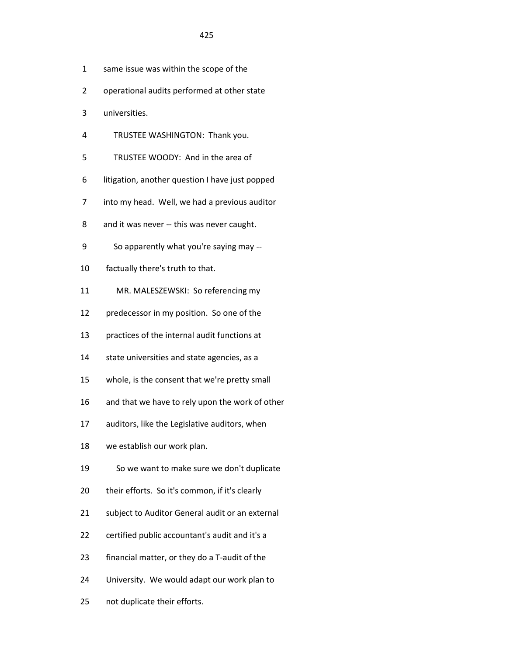- 1 same issue was within the scope of the
- 2 operational audits performed at other state
- 3 universities.
- 4 TRUSTEE WASHINGTON: Thank you.
- 5 TRUSTEE WOODY: And in the area of
- 6 litigation, another question I have just popped
- 7 into my head. Well, we had a previous auditor
- 8 and it was never -- this was never caught.
- 9 So apparently what you're saying may --
- 10 factually there's truth to that.
- 11 MR. MALESZEWSKI: So referencing my
- 12 predecessor in my position. So one of the
- 13 practices of the internal audit functions at
- 14 state universities and state agencies, as a
- 15 whole, is the consent that we're pretty small
- 16 and that we have to rely upon the work of other
- 17 auditors, like the Legislative auditors, when
- 18 we establish our work plan.
- 19 So we want to make sure we don't duplicate
- 20 their efforts. So it's common, if it's clearly
- 21 subject to Auditor General audit or an external
- 22 certified public accountant's audit and it's a
- 23 financial matter, or they do a T-audit of the
- 24 University. We would adapt our work plan to
- 25 not duplicate their efforts.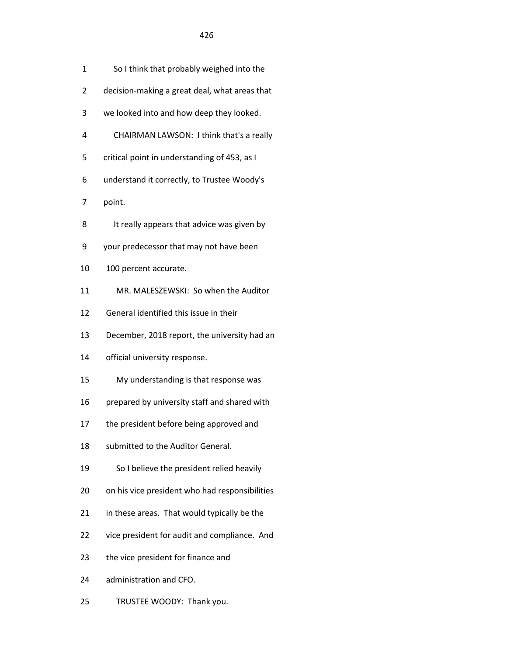- 1 So I think that probably weighed into the
- 2 decision-making a great deal, what areas that
- 3 we looked into and how deep they looked.
- 4 CHAIRMAN LAWSON: I think that's a really
- 5 critical point in understanding of 453, as I
- 6 understand it correctly, to Trustee Woody's

7 point.

- 8 It really appears that advice was given by
- 9 your predecessor that may not have been
- 10 100 percent accurate.
- 11 MR. MALESZEWSKI: So when the Auditor
- 12 General identified this issue in their
- 13 December, 2018 report, the university had an
- 14 official university response.
- 15 My understanding is that response was
- 16 prepared by university staff and shared with
- 17 the president before being approved and
- 18 submitted to the Auditor General.
- 19 So I believe the president relied heavily
- 20 on his vice president who had responsibilities
- 21 in these areas. That would typically be the
- 22 vice president for audit and compliance. And
- 23 the vice president for finance and
- 24 administration and CFO.
- 25 TRUSTEE WOODY: Thank you.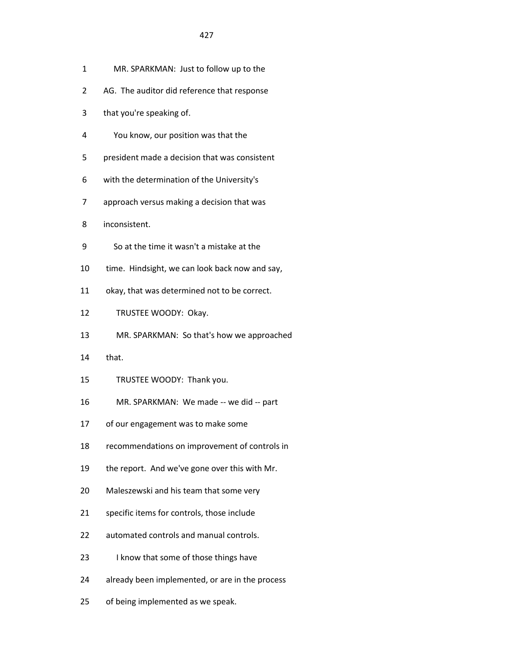- 1 MR. SPARKMAN: Just to follow up to the
- 2 AG. The auditor did reference that response
- 3 that you're speaking of.
- 4 You know, our position was that the
- 5 president made a decision that was consistent
- 6 with the determination of the University's
- 7 approach versus making a decision that was
- 8 inconsistent.
- 9 So at the time it wasn't a mistake at the
- 10 time. Hindsight, we can look back now and say,
- 11 okay, that was determined not to be correct.
- 12 TRUSTEE WOODY: Okay.
- 13 MR. SPARKMAN: So that's how we approached
- 14 that.
- 15 TRUSTEE WOODY: Thank you.
- 16 MR. SPARKMAN: We made -- we did -- part
- 17 of our engagement was to make some
- 18 recommendations on improvement of controls in
- 19 the report. And we've gone over this with Mr.
- 20 Maleszewski and his team that some very
- 21 specific items for controls, those include
- 22 automated controls and manual controls.
- 23 I know that some of those things have
- 24 already been implemented, or are in the process
- 25 of being implemented as we speak.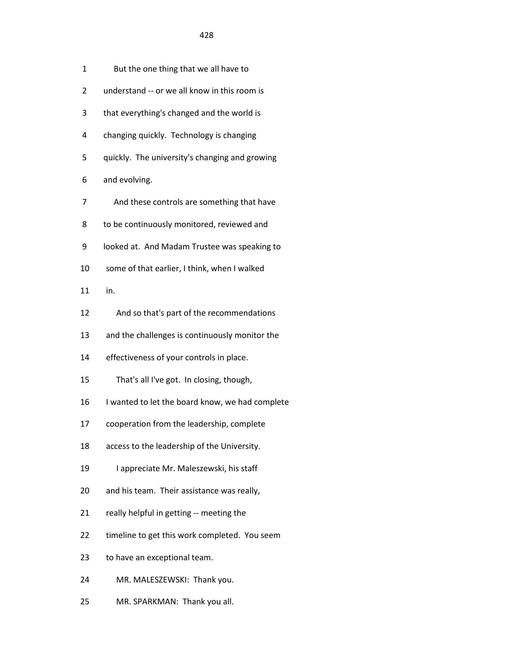| 1  | But the one thing that we all have to           |
|----|-------------------------------------------------|
| 2  | understand -- or we all know in this room is    |
| 3  | that everything's changed and the world is      |
| 4  | changing quickly. Technology is changing        |
| 5  | quickly. The university's changing and growing  |
| 6  | and evolving.                                   |
| 7  | And these controls are something that have      |
| 8  | to be continuously monitored, reviewed and      |
| 9  | looked at. And Madam Trustee was speaking to    |
| 10 | some of that earlier, I think, when I walked    |
| 11 | in.                                             |
| 12 | And so that's part of the recommendations       |
| 13 | and the challenges is continuously monitor the  |
| 14 | effectiveness of your controls in place.        |
| 15 | That's all I've got. In closing, though,        |
| 16 | I wanted to let the board know, we had complete |
| 17 | cooperation from the leadership, complete       |
| 18 | access to the leadership of the University.     |
| 19 | I appreciate Mr. Maleszewski, his staff         |
| 20 | and his team. Their assistance was really,      |
| 21 | really helpful in getting -- meeting the        |
| 22 | timeline to get this work completed. You seem   |
| 23 | to have an exceptional team.                    |
| 24 | MR. MALESZEWSKI: Thank you.                     |
| 25 | MR. SPARKMAN: Thank you all.                    |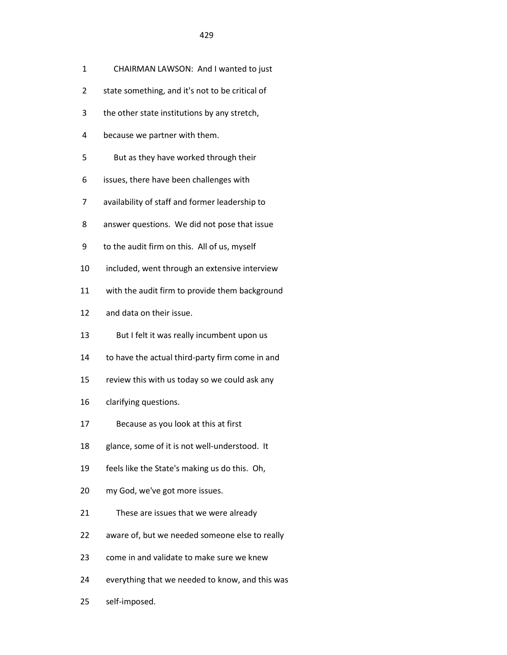- 1 CHAIRMAN LAWSON: And I wanted to just
- 2 state something, and it's not to be critical of
- 3 the other state institutions by any stretch,
- 4 because we partner with them.
- 5 But as they have worked through their
- 6 issues, there have been challenges with
- 7 availability of staff and former leadership to
- 8 answer questions. We did not pose that issue
- 9 to the audit firm on this. All of us, myself
- 10 included, went through an extensive interview
- 11 with the audit firm to provide them background
- 12 and data on their issue.
- 13 But I felt it was really incumbent upon us
- 14 to have the actual third-party firm come in and
- 15 review this with us today so we could ask any
- 16 clarifying questions.
- 17 Because as you look at this at first
- 18 glance, some of it is not well-understood. It
- 19 feels like the State's making us do this. Oh,
- 20 my God, we've got more issues.
- 21 These are issues that we were already
- 22 aware of, but we needed someone else to really
- 23 come in and validate to make sure we knew
- 24 everything that we needed to know, and this was
- 25 self-imposed.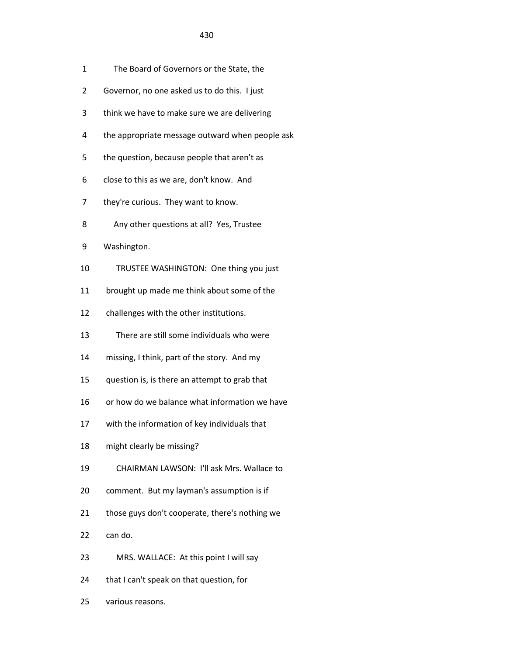- 2 Governor, no one asked us to do this. I just
- 3 think we have to make sure we are delivering
- 4 the appropriate message outward when people ask
- 5 the question, because people that aren't as
- 6 close to this as we are, don't know. And
- 7 they're curious. They want to know.
- 8 Any other questions at all? Yes, Trustee
- 9 Washington.
- 10 TRUSTEE WASHINGTON: One thing you just
- 11 brought up made me think about some of the
- 12 challenges with the other institutions.
- 13 There are still some individuals who were
- 14 missing, I think, part of the story. And my
- 15 question is, is there an attempt to grab that
- 16 or how do we balance what information we have
- 17 with the information of key individuals that
- 18 might clearly be missing?
- 19 CHAIRMAN LAWSON: I'll ask Mrs. Wallace to
- 20 comment. But my layman's assumption is if
- 21 those guys don't cooperate, there's nothing we
- 22 can do.
- 23 MRS. WALLACE: At this point I will say
- 24 that I can't speak on that question, for
- 25 various reasons.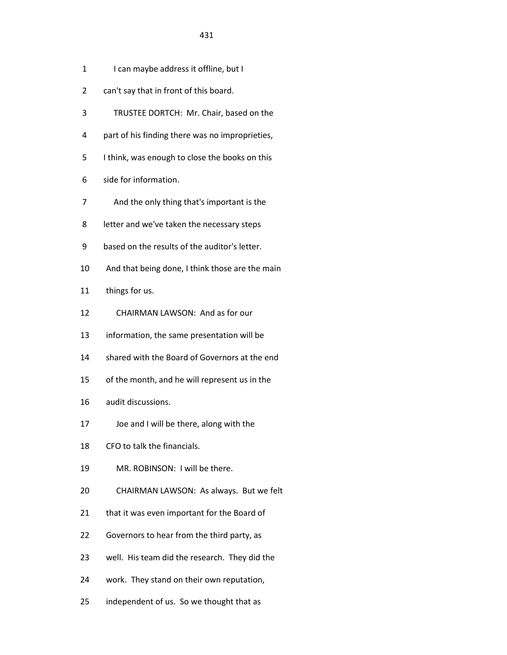- 1 I can maybe address it offline, but I
- 2 can't say that in front of this board.
- 3 TRUSTEE DORTCH: Mr. Chair, based on the
- 4 part of his finding there was no improprieties,
- 5 I think, was enough to close the books on this
- 6 side for information.
- 7 And the only thing that's important is the
- 8 letter and we've taken the necessary steps
- 9 based on the results of the auditor's letter.
- 10 And that being done, I think those are the main
- 11 things for us.
- 12 CHAIRMAN LAWSON: And as for our
- 13 information, the same presentation will be
- 14 shared with the Board of Governors at the end
- 15 of the month, and he will represent us in the
- 16 audit discussions.
- 17 Joe and I will be there, along with the
- 18 CFO to talk the financials.
- 19 MR. ROBINSON: I will be there.
- 20 CHAIRMAN LAWSON: As always. But we felt
- 21 that it was even important for the Board of
- 22 Governors to hear from the third party, as
- 23 well. His team did the research. They did the
- 24 work. They stand on their own reputation,
- 25 independent of us. So we thought that as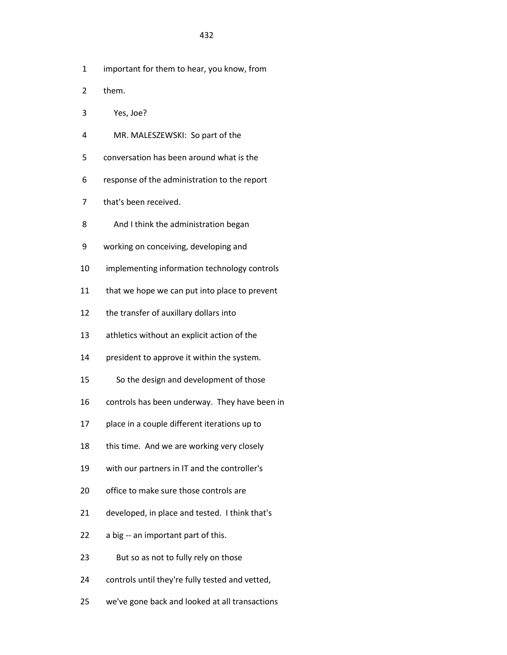- 1 important for them to hear, you know, from
- 2 them.
- 3 Yes, Joe?
- 4 MR. MALESZEWSKI: So part of the
- 5 conversation has been around what is the
- 6 response of the administration to the report
- 7 that's been received.
- 8 And I think the administration began
- 9 working on conceiving, developing and
- 10 implementing information technology controls
- 11 that we hope we can put into place to prevent
- 12 the transfer of auxillary dollars into
- 13 athletics without an explicit action of the
- 14 president to approve it within the system.
- 15 So the design and development of those
- 16 controls has been underway. They have been in
- 17 place in a couple different iterations up to
- 18 this time. And we are working very closely
- 19 with our partners in IT and the controller's
- 20 office to make sure those controls are
- 21 developed, in place and tested. I think that's
- 22 a big -- an important part of this.
- 23 But so as not to fully rely on those
- 24 controls until they're fully tested and vetted,
- 25 we've gone back and looked at all transactions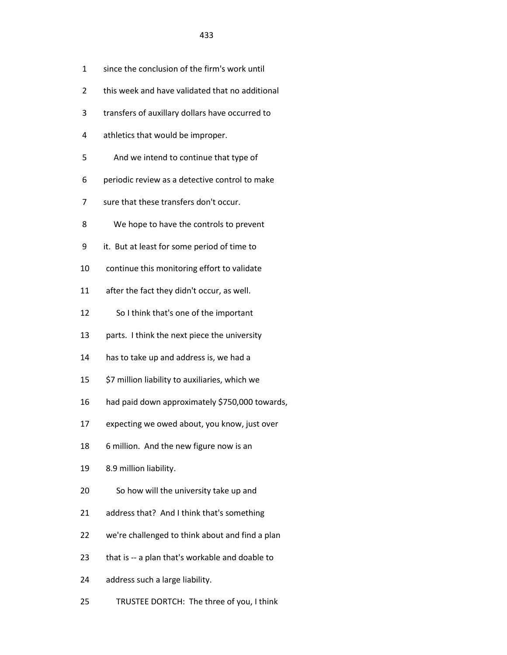- 1 since the conclusion of the firm's work until
- 2 this week and have validated that no additional
- 3 transfers of auxillary dollars have occurred to
- 4 athletics that would be improper.
- 5 And we intend to continue that type of
- 6 periodic review as a detective control to make
- 7 sure that these transfers don't occur.
- 8 We hope to have the controls to prevent
- 9 it. But at least for some period of time to
- 10 continue this monitoring effort to validate
- 11 after the fact they didn't occur, as well.
- 12 So I think that's one of the important
- 13 parts. I think the next piece the university
- 14 has to take up and address is, we had a
- 15 \$7 million liability to auxiliaries, which we
- 16 had paid down approximately \$750,000 towards,
- 17 expecting we owed about, you know, just over
- 18 6 million. And the new figure now is an
- 19 8.9 million liability.
- 20 So how will the university take up and
- 21 address that? And I think that's something
- 22 we're challenged to think about and find a plan
- 23 that is -- a plan that's workable and doable to
- 24 address such a large liability.
- 25 TRUSTEE DORTCH: The three of you, I think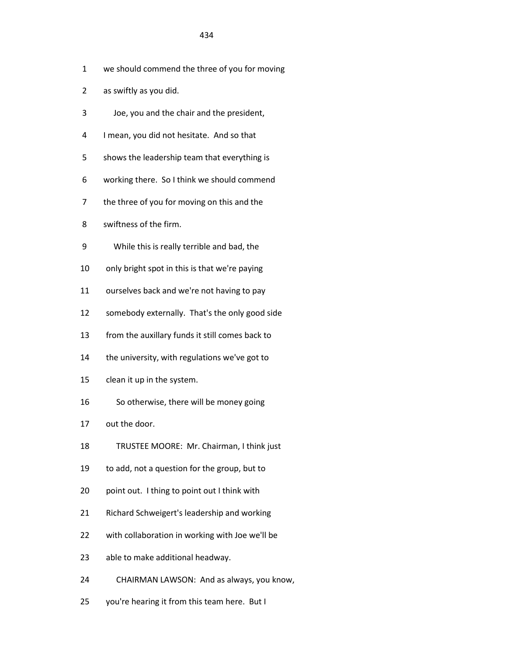- 1 we should commend the three of you for moving
- 2 as swiftly as you did.
- 3 Joe, you and the chair and the president,
- 4 I mean, you did not hesitate. And so that
- 5 shows the leadership team that everything is
- 6 working there. So I think we should commend
- 7 the three of you for moving on this and the
- 8 swiftness of the firm.
- 9 While this is really terrible and bad, the
- 10 only bright spot in this is that we're paying
- 11 ourselves back and we're not having to pay
- 12 somebody externally. That's the only good side
- 13 from the auxillary funds it still comes back to
- 14 the university, with regulations we've got to
- 15 clean it up in the system.
- 16 So otherwise, there will be money going
- 17 out the door.
- 18 TRUSTEE MOORE: Mr. Chairman, I think just
- 19 to add, not a question for the group, but to
- 20 point out. I thing to point out I think with
- 21 Richard Schweigert's leadership and working
- 22 with collaboration in working with Joe we'll be
- 23 able to make additional headway.
- 24 CHAIRMAN LAWSON: And as always, you know,
- 25 you're hearing it from this team here. But I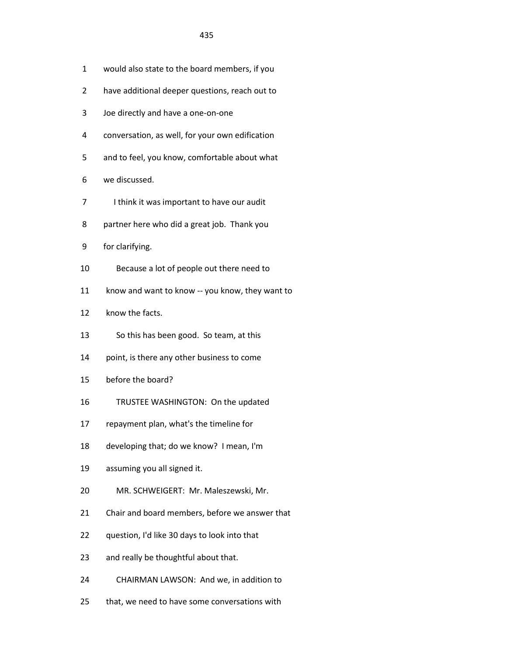- 1 would also state to the board members, if you
- 2 have additional deeper questions, reach out to
- 3 Joe directly and have a one-on-one
- 4 conversation, as well, for your own edification
- 5 and to feel, you know, comfortable about what
- 6 we discussed.
- 7 I think it was important to have our audit
- 8 partner here who did a great job. Thank you
- 9 for clarifying.
- 10 Because a lot of people out there need to
- 11 know and want to know -- you know, they want to
- 12 know the facts.
- 13 So this has been good. So team, at this
- 14 point, is there any other business to come
- 15 before the board?
- 16 TRUSTEE WASHINGTON: On the updated
- 17 repayment plan, what's the timeline for
- 18 developing that; do we know? I mean, I'm
- 19 assuming you all signed it.
- 20 MR. SCHWEIGERT: Mr. Maleszewski, Mr.
- 21 Chair and board members, before we answer that
- 22 question, I'd like 30 days to look into that
- 23 and really be thoughtful about that.
- 24 CHAIRMAN LAWSON: And we, in addition to
- 25 that, we need to have some conversations with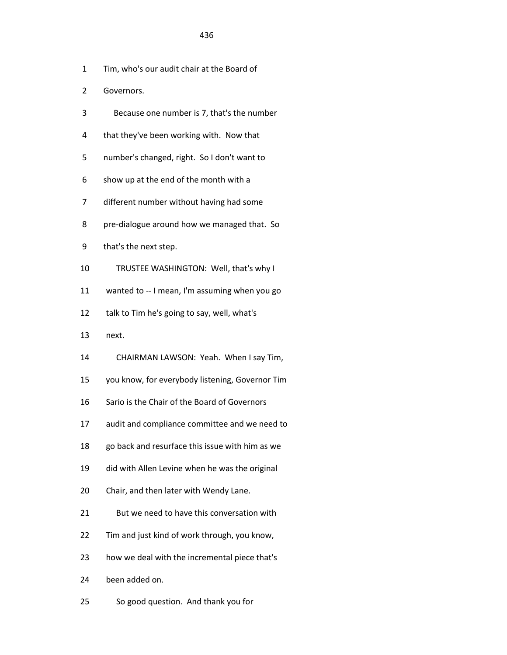- 1 Tim, who's our audit chair at the Board of
- 2 Governors.
- 3 Because one number is 7, that's the number
- 4 that they've been working with. Now that
- 5 number's changed, right. So I don't want to
- 6 show up at the end of the month with a
- 7 different number without having had some
- 8 pre-dialogue around how we managed that. So
- 9 that's the next step.
- 10 TRUSTEE WASHINGTON: Well, that's why I
- 11 wanted to -- I mean, I'm assuming when you go
- 12 talk to Tim he's going to say, well, what's
- 13 next.
- 14 CHAIRMAN LAWSON: Yeah. When I say Tim,
- 15 you know, for everybody listening, Governor Tim
- 16 Sario is the Chair of the Board of Governors
- 17 audit and compliance committee and we need to
- 18 go back and resurface this issue with him as we
- 19 did with Allen Levine when he was the original
- 20 Chair, and then later with Wendy Lane.
- 21 But we need to have this conversation with
- 22 Tim and just kind of work through, you know,
- 23 how we deal with the incremental piece that's
- 24 been added on.
- 25 So good question. And thank you for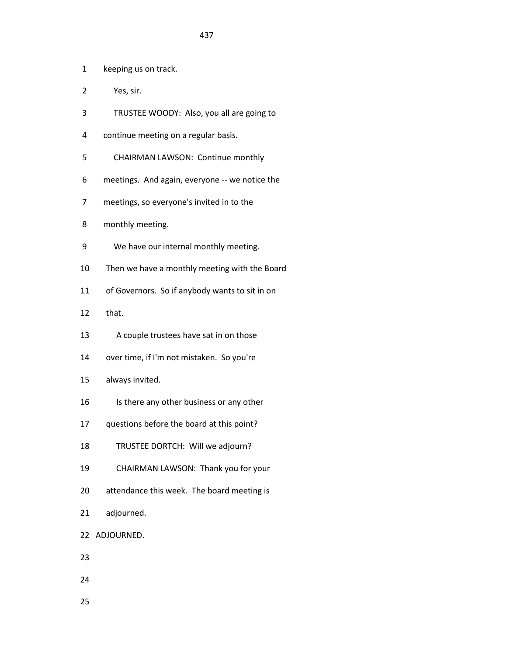1 keeping us on track.

- 2 Yes, sir.
- 3 TRUSTEE WOODY: Also, you all are going to
- 4 continue meeting on a regular basis.
- 5 CHAIRMAN LAWSON: Continue monthly
- 6 meetings. And again, everyone -- we notice the
- 7 meetings, so everyone's invited in to the
- 8 monthly meeting.
- 9 We have our internal monthly meeting.
- 10 Then we have a monthly meeting with the Board
- 11 of Governors. So if anybody wants to sit in on
- 12 that.
- 13 A couple trustees have sat in on those
- 14 over time, if I'm not mistaken. So you're
- 15 always invited.
- 16 Is there any other business or any other
- 17 questions before the board at this point?
- 18 TRUSTEE DORTCH: Will we adjourn?
- 19 CHAIRMAN LAWSON: Thank you for your
- 20 attendance this week. The board meeting is
- 21 adjourned.
- 22 ADJOURNED.
- 23
- 24
- 25